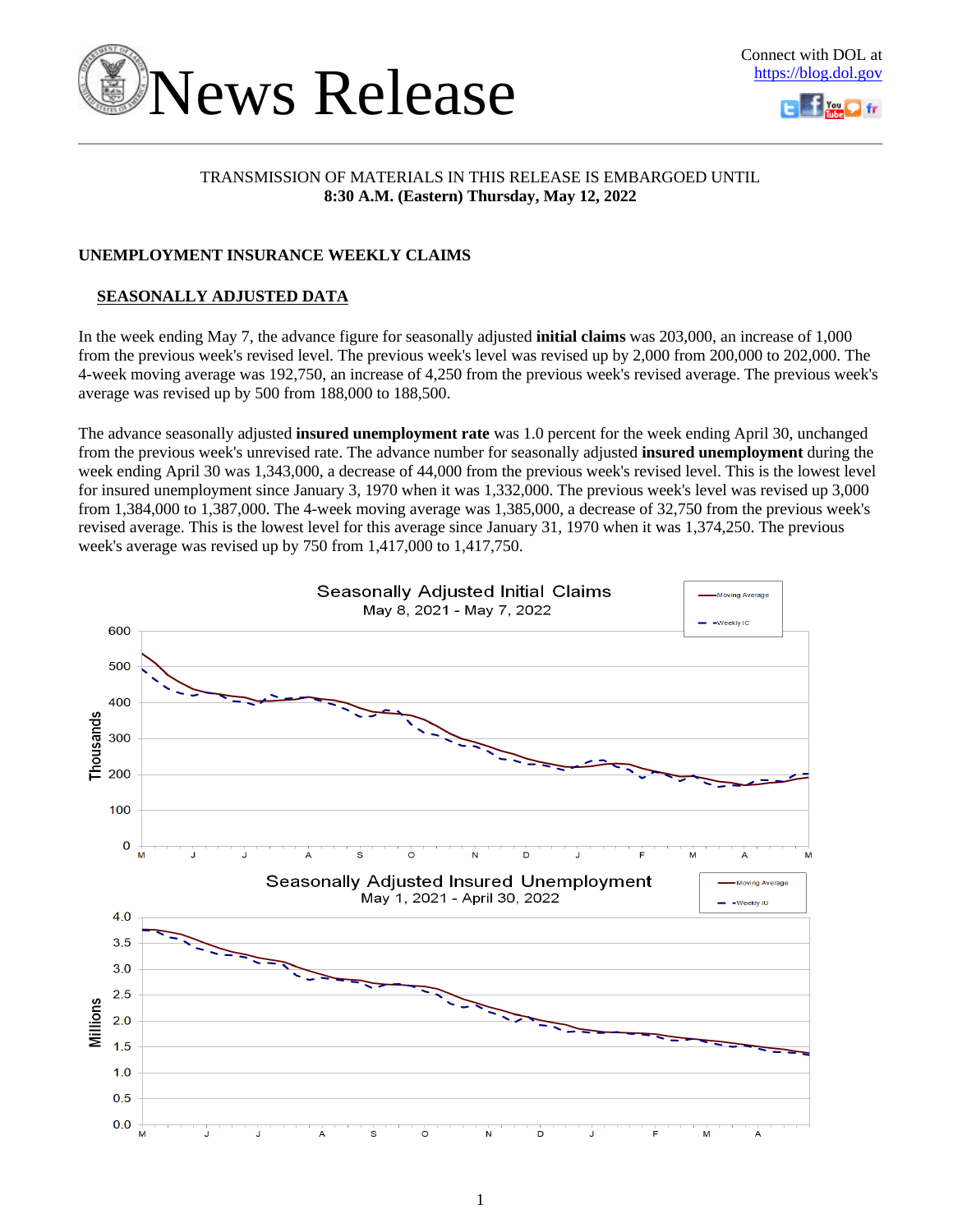



## TRANSMISSION OF MATERIALS IN THIS RELEASE IS EMBARGOED UNTIL **8:30 A.M. (Eastern) Thursday, May 12, 2022**

## **UNEMPLOYMENT INSURANCE WEEKLY CLAIMS**

## **SEASONALLY ADJUSTED DATA**

In the week ending May 7, the advance figure for seasonally adjusted **initial claims** was 203,000, an increase of 1,000 from the previous week's revised level. The previous week's level was revised up by 2,000 from 200,000 to 202,000. The 4-week moving average was 192,750, an increase of 4,250 from the previous week's revised average. The previous week's average was revised up by 500 from 188,000 to 188,500.

The advance seasonally adjusted **insured unemployment rate** was 1.0 percent for the week ending April 30, unchanged from the previous week's unrevised rate. The advance number for seasonally adjusted **insured unemployment** during the week ending April 30 was 1,343,000, a decrease of 44,000 from the previous week's revised level. This is the lowest level for insured unemployment since January 3, 1970 when it was 1,332,000. The previous week's level was revised up 3,000 from 1,384,000 to 1,387,000. The 4-week moving average was 1,385,000, a decrease of 32,750 from the previous week's revised average. This is the lowest level for this average since January 31, 1970 when it was 1,374,250. The previous week's average was revised up by 750 from 1,417,000 to 1,417,750.

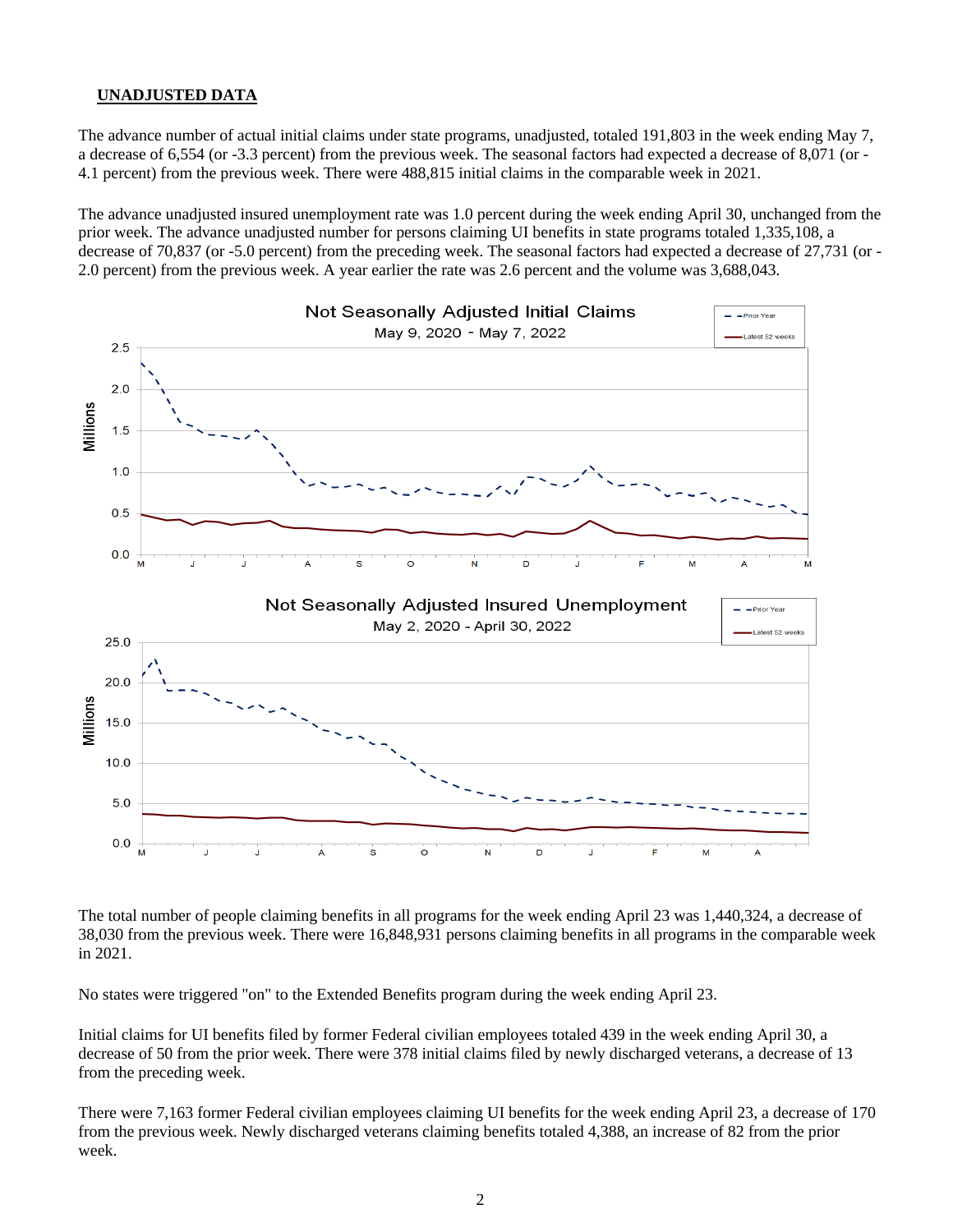## **UNADJUSTED DATA**

The advance number of actual initial claims under state programs, unadjusted, totaled 191,803 in the week ending May 7, a decrease of 6,554 (or -3.3 percent) from the previous week. The seasonal factors had expected a decrease of 8,071 (or - 4.1 percent) from the previous week. There were 488,815 initial claims in the comparable week in 2021.

The advance unadjusted insured unemployment rate was 1.0 percent during the week ending April 30, unchanged from the prior week. The advance unadjusted number for persons claiming UI benefits in state programs totaled 1,335,108, a decrease of 70,837 (or -5.0 percent) from the preceding week. The seasonal factors had expected a decrease of 27,731 (or - 2.0 percent) from the previous week. A year earlier the rate was 2.6 percent and the volume was 3,688,043.



The total number of people claiming benefits in all programs for the week ending April 23 was 1,440,324, a decrease of 38,030 from the previous week. There were 16,848,931 persons claiming benefits in all programs in the comparable week in 2021.

No states were triggered "on" to the Extended Benefits program during the week ending April 23.

Initial claims for UI benefits filed by former Federal civilian employees totaled 439 in the week ending April 30, a decrease of 50 from the prior week. There were 378 initial claims filed by newly discharged veterans, a decrease of 13 from the preceding week.

There were 7,163 former Federal civilian employees claiming UI benefits for the week ending April 23, a decrease of 170 from the previous week. Newly discharged veterans claiming benefits totaled 4,388, an increase of 82 from the prior week.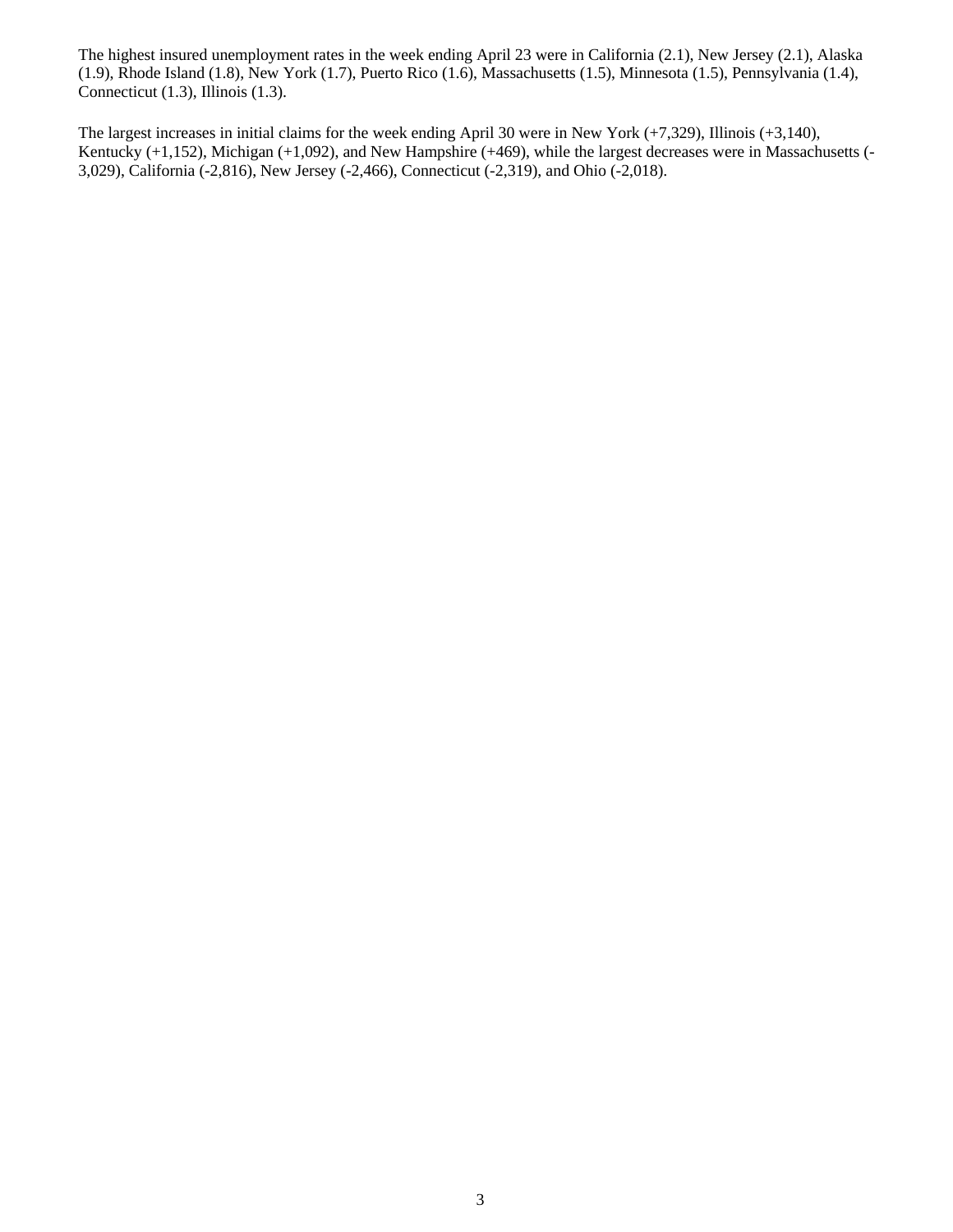The highest insured unemployment rates in the week ending April 23 were in California (2.1), New Jersey (2.1), Alaska (1.9), Rhode Island (1.8), New York (1.7), Puerto Rico (1.6), Massachusetts (1.5), Minnesota (1.5), Pennsylvania (1.4), Connecticut (1.3), Illinois (1.3).

The largest increases in initial claims for the week ending April 30 were in New York (+7,329), Illinois (+3,140), Kentucky (+1,152), Michigan (+1,092), and New Hampshire (+469), while the largest decreases were in Massachusetts (-3,029), California (-2,816), New Jersey (-2,466), Connecticut (-2,319), and Ohio (-2,018).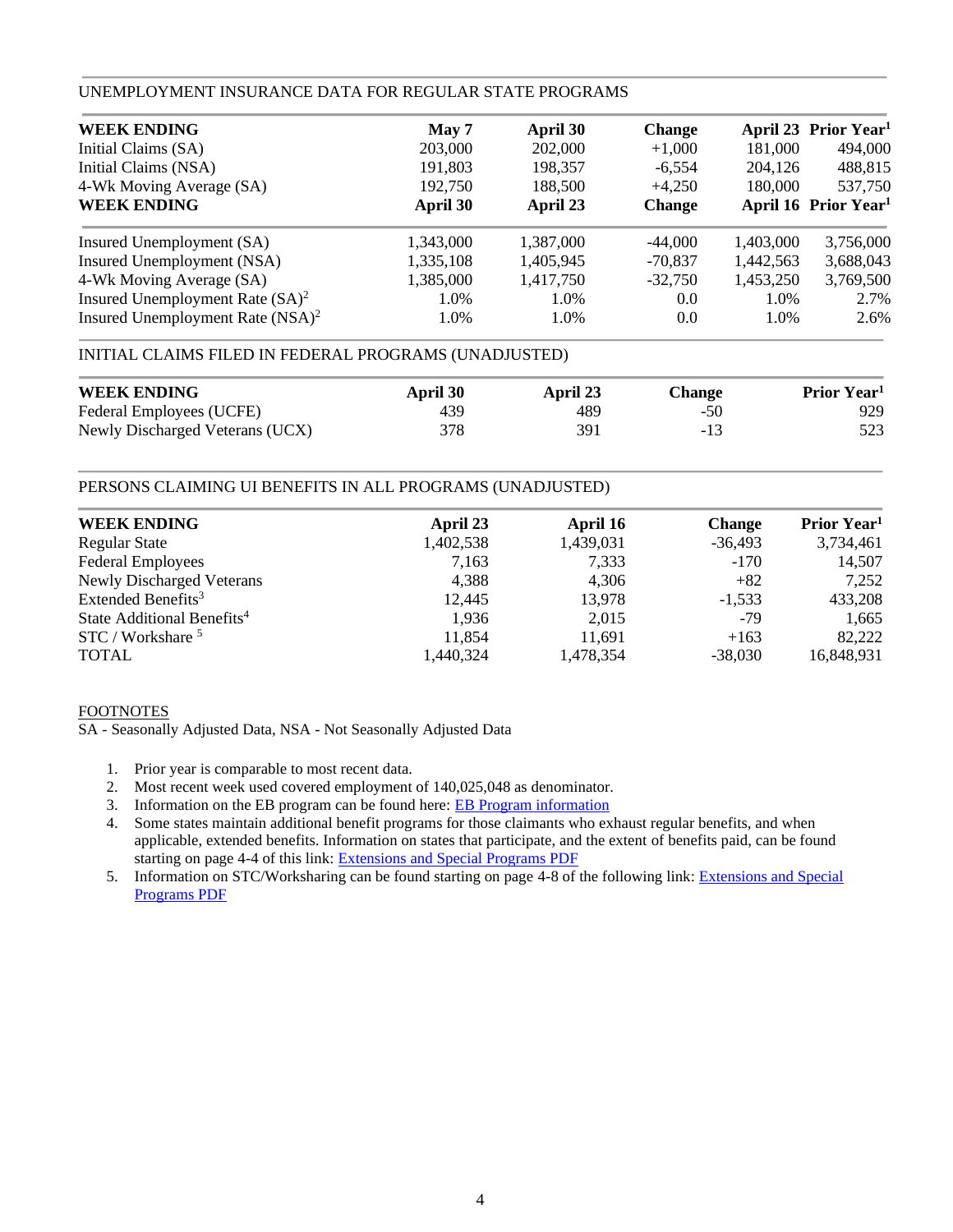### UNEMPLOYMENT INSURANCE DATA FOR REGULAR STATE PROGRAMS

| <b>WEEK ENDING</b>                  | May 7     | April 30  | <b>Change</b> |           | April 23 Prior Year <sup>1</sup> |
|-------------------------------------|-----------|-----------|---------------|-----------|----------------------------------|
| Initial Claims (SA)                 | 203,000   | 202,000   | $+1,000$      | 181,000   | 494,000                          |
| Initial Claims (NSA)                | 191,803   | 198,357   | $-6,554$      | 204,126   | 488,815                          |
| 4-Wk Moving Average (SA)            | 192,750   | 188,500   | $+4,250$      | 180,000   | 537,750                          |
| <b>WEEK ENDING</b>                  | April 30  | April 23  | <b>Change</b> |           | April 16 Prior Year <sup>1</sup> |
| Insured Unemployment (SA)           | 1.343.000 | 1.387,000 | $-44,000$     | 1,403,000 | 3,756,000                        |
| Insured Unemployment (NSA)          | 1,335,108 | 1,405,945 | $-70,837$     | 1,442,563 | 3,688,043                        |
| 4-Wk Moving Average (SA)            | 1,385,000 | 1,417,750 | $-32,750$     | 1,453,250 | 3,769,500                        |
| Insured Unemployment Rate $(SA)^2$  | 1.0%      | 1.0%      | 0.0           | 1.0%      | 2.7%                             |
| Insured Unemployment Rate $(NSA)^2$ | 1.0%      | 1.0%      | 0.0           | 1.0%      | 2.6%                             |

## INITIAL CLAIMS FILED IN FEDERAL PROGRAMS (UNADJUSTED)

| <b>WEEK ENDING</b>              | April 30 | April 23 | Change | Prior Year <sup>1</sup> |
|---------------------------------|----------|----------|--------|-------------------------|
| Federal Employees (UCFE)        | 439      | 489      | $-50$  | 929                     |
| Newly Discharged Veterans (UCX) | 378      | 391      | -13    |                         |

## PERSONS CLAIMING UI BENEFITS IN ALL PROGRAMS (UNADJUSTED)

| <b>WEEK ENDING</b>                     | April 23  | April 16  | <b>Change</b> | Prior Year <sup>1</sup> |
|----------------------------------------|-----------|-----------|---------------|-------------------------|
| <b>Regular State</b>                   | 1,402,538 | 1,439,031 | $-36,493$     | 3,734,461               |
| <b>Federal Employees</b>               | 7,163     | 7,333     | $-170$        | 14,507                  |
| Newly Discharged Veterans              | 4,388     | 4,306     | $+82$         | 7,252                   |
| Extended Benefits <sup>3</sup>         | 12,445    | 13,978    | $-1.533$      | 433,208                 |
| State Additional Benefits <sup>4</sup> | 1,936     | 2,015     | $-79$         | 1,665                   |
| STC / Workshare <sup>5</sup>           | 11,854    | 11,691    | $+163$        | 82,222                  |
| <b>TOTAL</b>                           | 1,440,324 | 1,478,354 | $-38.030$     | 16,848,931              |

## FOOTNOTES

SA - Seasonally Adjusted Data, NSA - Not Seasonally Adjusted Data

- 1. Prior year is comparable to most recent data.
- 2. Most recent week used covered employment of 140,025,048 as denominator.
- 3. Information on the EB program can be found here: [EB Program information](https://oui.doleta.gov/unemploy/extenben.asp)
- 4. Some states maintain additional benefit programs for those claimants who exhaust regular benefits, and when applicable, extended benefits. Information on states that participate, and the extent of benefits paid, can be found starting on page 4-4 of this link: [Extensions and Special Programs PDF](https://oui.doleta.gov/unemploy/pdf/uilawcompar/2019/special.pdf#page=4)
- 5. Information on STC/Worksharing can be found starting on page 4-8 of the following link: [Extensions and Special](https://oui.doleta.gov/unemploy/pdf/uilawcompar/2019/special.pdf#page=8)  [Programs PDF](https://oui.doleta.gov/unemploy/pdf/uilawcompar/2019/special.pdf#page=8)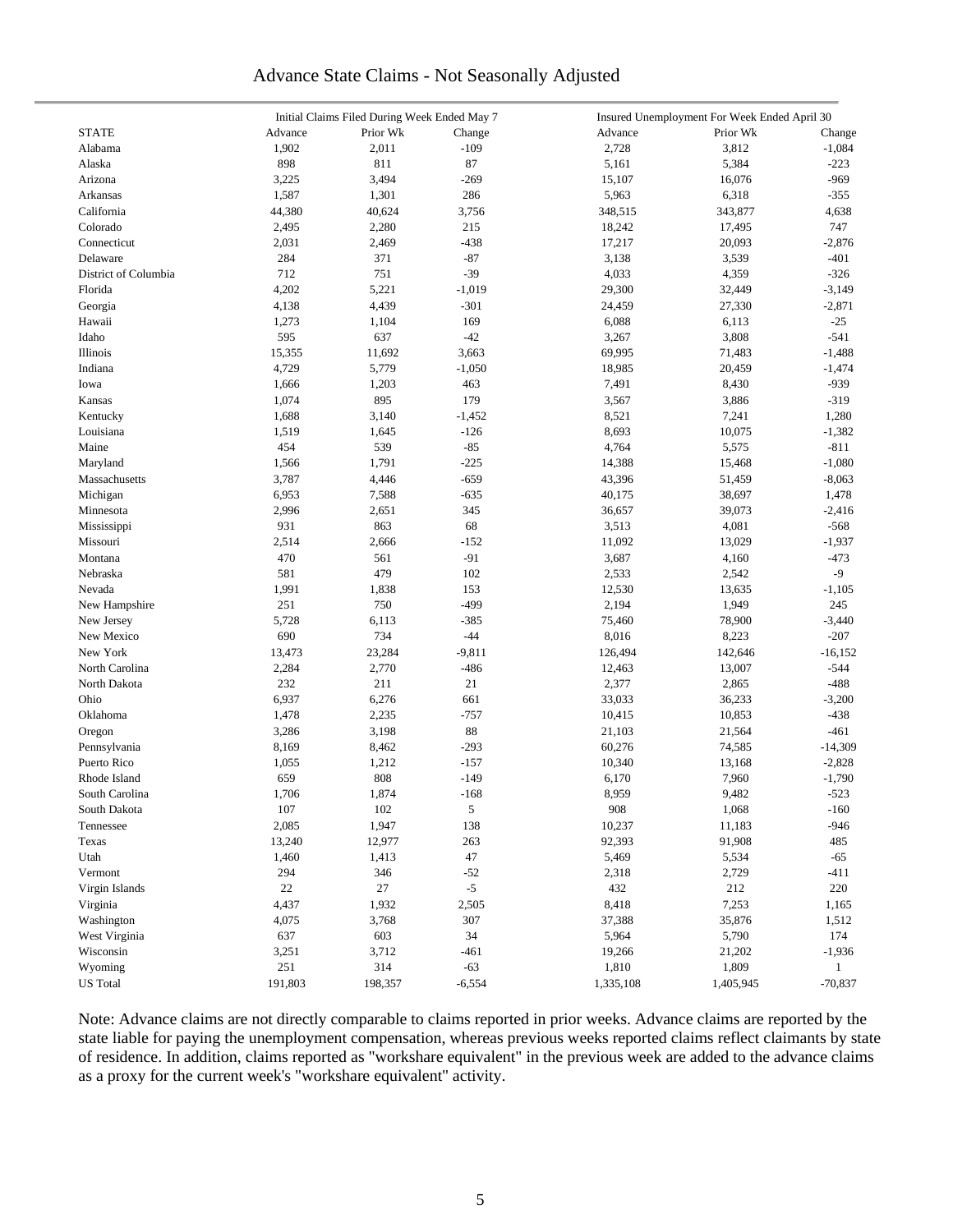## Advance State Claims - Not Seasonally Adjusted

|                      | Initial Claims Filed During Week Ended May 7 |          |          | Insured Unemployment For Week Ended April 30 |           |              |  |  |
|----------------------|----------------------------------------------|----------|----------|----------------------------------------------|-----------|--------------|--|--|
| <b>STATE</b>         | Advance                                      | Prior Wk | Change   | Advance                                      | Prior Wk  | Change       |  |  |
| Alabama              | 1,902                                        | 2,011    | $-109$   | 2,728                                        | 3,812     | $-1,084$     |  |  |
| Alaska               | 898                                          | 811      | 87       | 5,161                                        | 5,384     | $-223$       |  |  |
| Arizona              | 3,225                                        | 3,494    | $-269$   | 15,107                                       | 16,076    | $-969$       |  |  |
| Arkansas             | 1,587                                        | 1,301    | 286      | 5,963                                        | 6,318     | $-355$       |  |  |
| California           | 44,380                                       | 40,624   | 3,756    | 348,515                                      | 343,877   | 4,638        |  |  |
| Colorado             | 2,495                                        | 2,280    | 215      | 18,242                                       |           | 747          |  |  |
|                      |                                              |          | $-438$   | 17,217                                       | 17,495    |              |  |  |
| Connecticut          | 2,031                                        | 2,469    |          |                                              | 20,093    | $-2,876$     |  |  |
| Delaware             | 284                                          | 371      | $-87$    | 3,138                                        | 3,539     | $-401$       |  |  |
| District of Columbia | 712                                          | 751      | $-39$    | 4,033                                        | 4,359     | $-326$       |  |  |
| Florida              | 4,202                                        | 5,221    | $-1,019$ | 29,300                                       | 32,449    | $-3,149$     |  |  |
| Georgia              | 4,138                                        | 4,439    | $-301$   | 24,459                                       | 27,330    | $-2,871$     |  |  |
| Hawaii               | 1,273                                        | 1,104    | 169      | 6,088                                        | 6,113     | $-25$        |  |  |
| Idaho                | 595                                          | 637      | $-42$    | 3,267                                        | 3,808     | $-541$       |  |  |
| Illinois             | 15,355                                       | 11,692   | 3,663    | 69,995                                       | 71,483    | $-1,488$     |  |  |
| Indiana              | 4,729                                        | 5,779    | $-1,050$ | 18,985                                       | 20,459    | $-1,474$     |  |  |
| Iowa                 | 1,666                                        | 1,203    | 463      | 7,491                                        | 8,430     | $-939$       |  |  |
| Kansas               | 1,074                                        | 895      | 179      | 3,567                                        | 3,886     | $-319$       |  |  |
| Kentucky             | 1,688                                        | 3,140    | $-1,452$ | 8,521                                        | 7,241     | 1,280        |  |  |
| Louisiana            | 1,519                                        | 1,645    | $-126$   | 8,693                                        | 10,075    | $-1,382$     |  |  |
| Maine                | 454                                          | 539      | $-85$    | 4,764                                        | 5,575     | $-811$       |  |  |
| Maryland             | 1,566                                        | 1,791    | $-225$   | 14,388                                       | 15,468    | $-1,080$     |  |  |
| Massachusetts        | 3,787                                        | 4,446    | $-659$   | 43,396                                       | 51,459    | $-8,063$     |  |  |
| Michigan             | 6,953                                        | 7,588    | $-635$   | 40,175                                       | 38,697    | 1,478        |  |  |
| Minnesota            | 2,996                                        | 2,651    | 345      | 36,657                                       | 39,073    | $-2,416$     |  |  |
| Mississippi          | 931                                          | 863      | 68       | 3,513                                        | 4,081     | $-568$       |  |  |
| Missouri             | 2,514                                        | 2,666    | $-152$   | 11,092                                       | 13,029    | $-1,937$     |  |  |
| Montana              | 470                                          | 561      | $-91$    | 3,687                                        | 4,160     | $-473$       |  |  |
| Nebraska             | 581                                          | 479      | 102      | 2,533                                        | 2,542     | $-9$         |  |  |
| Nevada               | 1,991                                        | 1,838    | 153      | 12,530                                       | 13,635    | $-1,105$     |  |  |
|                      | 251                                          | 750      | $-499$   |                                              |           |              |  |  |
| New Hampshire        |                                              |          |          | 2,194                                        | 1,949     | 245          |  |  |
| New Jersey           | 5,728                                        | 6,113    | $-385$   | 75,460                                       | 78,900    | $-3,440$     |  |  |
| New Mexico           | 690                                          | 734      | $-44$    | 8,016                                        | 8,223     | $-207$       |  |  |
| New York             | 13,473                                       | 23,284   | $-9,811$ | 126,494                                      | 142,646   | $-16,152$    |  |  |
| North Carolina       | 2,284                                        | 2,770    | $-486$   | 12,463                                       | 13,007    | $-544$       |  |  |
| North Dakota         | 232                                          | 211      | 21       | 2,377                                        | 2,865     | $-488$       |  |  |
| Ohio                 | 6,937                                        | 6,276    | 661      | 33,033                                       | 36,233    | $-3,200$     |  |  |
| Oklahoma             | 1,478                                        | 2,235    | $-757$   | 10,415                                       | 10,853    | $-438$       |  |  |
| Oregon               | 3,286                                        | 3,198    | 88       | 21,103                                       | 21,564    | -461         |  |  |
| Pennsylvania         | 8,169                                        | 8,462    | $-293$   | 60,276                                       | 74,585    | $-14,309$    |  |  |
| Puerto Rico          | 1,055                                        | 1,212    | $-157$   | 10,340                                       | 13,168    | $-2,828$     |  |  |
| Rhode Island         | 659                                          | 808      | $-149$   | 6,170                                        | 7,960     | $-1,790$     |  |  |
| South Carolina       | 1,706                                        | 1,874    | $-168$   | 8,959                                        | 9,482     | $-523$       |  |  |
| South Dakota         | 107                                          | 102      | 5        | 908                                          | 1,068     | $-160$       |  |  |
| Tennessee            | 2,085                                        | 1,947    | 138      | 10,237                                       | 11,183    | $-946$       |  |  |
| Texas                | 13,240                                       | 12,977   | 263      | 92,393                                       | 91,908    | 485          |  |  |
| Utah                 | 1,460                                        | 1,413    | 47       | 5,469                                        | 5,534     | $-65$        |  |  |
| Vermont              | 294                                          | 346      | $-52$    | 2,318                                        | 2,729     | $-411$       |  |  |
| Virgin Islands       | $22\,$                                       | 27       | $-5$     | 432                                          | 212       | 220          |  |  |
| Virginia             | 4,437                                        | 1,932    | 2,505    | 8,418                                        | 7,253     | 1,165        |  |  |
| Washington           | 4,075                                        | 3,768    | 307      | 37,388                                       | 35,876    | 1,512        |  |  |
| West Virginia        | 637                                          | 603      | 34       |                                              | 5,790     | 174          |  |  |
| Wisconsin            |                                              |          |          | 5,964                                        |           |              |  |  |
|                      | 3,251                                        | 3,712    | $-461$   | 19,266                                       | 21,202    | $-1,936$     |  |  |
| Wyoming              | 251                                          | 314      | $-63$    | 1,810                                        | 1,809     | $\mathbf{1}$ |  |  |
| <b>US</b> Total      | 191,803                                      | 198,357  | $-6,554$ | 1,335,108                                    | 1,405,945 | $-70,837$    |  |  |

Note: Advance claims are not directly comparable to claims reported in prior weeks. Advance claims are reported by the state liable for paying the unemployment compensation, whereas previous weeks reported claims reflect claimants by state of residence. In addition, claims reported as "workshare equivalent" in the previous week are added to the advance claims as a proxy for the current week's "workshare equivalent" activity.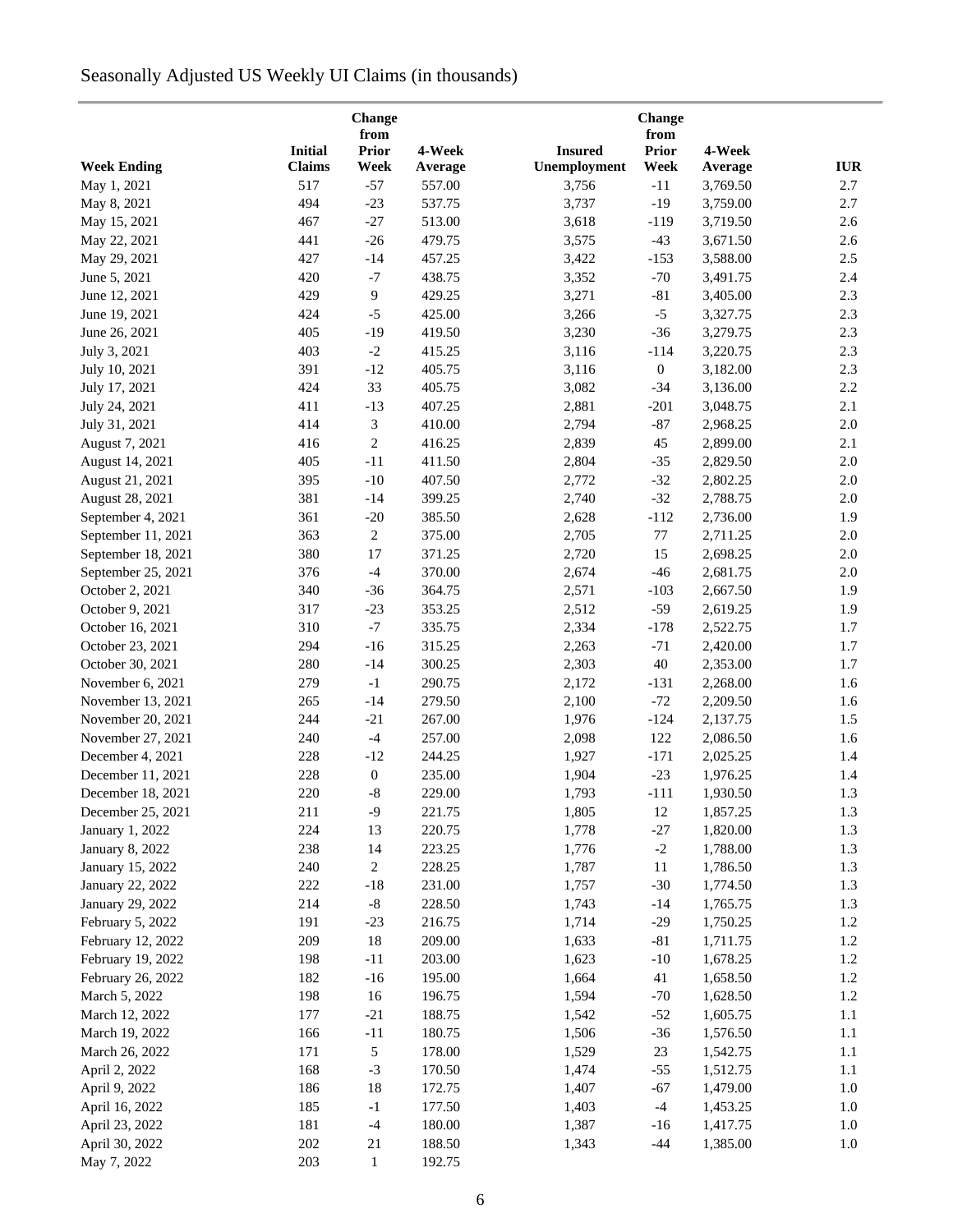# Seasonally Adjusted US Weekly UI Claims (in thousands)

| <b>Initial</b><br>4-Week<br>4-Week<br><b>Prior</b><br><b>Insured</b><br><b>Prior</b><br>Unemployment<br><b>IUR</b><br><b>Week Ending</b><br><b>Claims</b><br>Week<br>Week<br>Average<br>Average<br>2.7<br>May 1, 2021<br>517<br>$-57$<br>557.00<br>3,756<br>$-11$<br>3,769.50<br>494<br>$-23$<br>537.75<br>3,737<br>$-19$<br>3,759.00<br>2.7<br>May 8, 2021<br>467<br>$-27$<br>513.00<br>3,618<br>3,719.50<br>2.6<br>May 15, 2021<br>$-119$<br>441<br>$-26$<br>479.75<br>3,575<br>2.6<br>May 22, 2021<br>$-43$<br>3,671.50<br>427<br>457.25<br>May 29, 2021<br>$-14$<br>3,422<br>$-153$<br>3,588.00<br>2.5<br>420<br>$-7$<br>438.75<br>3,352<br>$-70$<br>2.4<br>June 5, 2021<br>3,491.75<br>429<br>9<br>429.25<br>3,271<br>2.3<br>June 12, 2021<br>$-81$<br>3,405.00<br>424<br>$-5$<br>425.00<br>3,266<br>$-5$<br>2.3<br>June 19, 2021<br>3,327.75<br>405<br>2.3<br>June 26, 2021<br>$-19$<br>419.50<br>3,230<br>$-36$<br>3,279.75<br>403<br>$-2$<br>2.3<br>July 3, 2021<br>415.25<br>3,116<br>$-114$<br>3,220.75<br>391<br>405.75<br>$\boldsymbol{0}$<br>2.3<br>July 10, 2021<br>$-12$<br>3,116<br>3,182.00<br>424<br>33<br>405.75<br>3,082<br>2.2<br>July 17, 2021<br>$-34$<br>3,136.00<br>411<br>$-13$<br>407.25<br>2,881<br>$-201$<br>2.1<br>July 24, 2021<br>3,048.75<br>414<br>3<br>410.00<br>2,794<br>$-87$<br>2.0<br>July 31, 2021<br>2,968.25<br>$\overline{c}$<br>416<br>416.25<br>2,839<br>45<br>2,899.00<br>2.1<br>August 7, 2021<br>$-11$<br>$2.0\,$<br>August 14, 2021<br>405<br>411.50<br>2,804<br>$-35$<br>2,829.50<br>$-10$<br>407.50<br>$-32$<br>$2.0\,$<br>August 21, 2021<br>395<br>2,772<br>2,802.25<br>August 28, 2021<br>381<br>$-14$<br>399.25<br>2,740<br>$-32$<br>$2.0\,$<br>2,788.75<br>361<br>$-20$<br>385.50<br>2,628<br>$-112$<br>1.9<br>September 4, 2021<br>2,736.00<br>363<br>$\overline{c}$<br>375.00<br>2,705<br>$77\,$<br>$2.0\,$<br>September 11, 2021<br>2,711.25<br>September 18, 2021<br>380<br>17<br>371.25<br>2,720<br>$2.0\,$<br>15<br>2,698.25<br>376<br>$-4$<br>370.00<br>2,674<br>2,681.75<br>2.0<br>September 25, 2021<br>$-46$<br>340<br>$-36$<br>364.75<br>2,571<br>2,667.50<br>1.9<br>October 2, 2021<br>$-103$<br>317<br>$-23$<br>353.25<br>2,512<br>$-59$<br>1.9<br>October 9, 2021<br>2,619.25<br>$-7$<br>310<br>335.75<br>2,334<br>2,522.75<br>1.7<br>October 16, 2021<br>$-178$<br>294<br>$-16$<br>315.25<br>$-71$<br>1.7<br>October 23, 2021<br>2,263<br>2,420.00<br>280<br>300.25<br>2,303<br>$40\,$<br>October 30, 2021<br>$-14$<br>2,353.00<br>1.7<br>279<br>$-1$<br>290.75<br>2,172<br>2,268.00<br>1.6<br>November 6, 2021<br>$-131$<br>265<br>$-14$<br>279.50<br>2,100<br>$-72$<br>1.6<br>November 13, 2021<br>2,209.50<br>244<br>$-21$<br>267.00<br>1,976<br>1.5<br>November 20, 2021<br>$-124$<br>2,137.75<br>240<br>$-4$<br>257.00<br>122<br>1.6<br>November 27, 2021<br>2,098<br>2,086.50<br>228<br>December 4, 2021<br>$-12$<br>244.25<br>1,927<br>$-171$<br>2,025.25<br>1.4<br>228<br>$\boldsymbol{0}$<br>235.00<br>1,904<br>$-23$<br>1,976.25<br>1.4<br>December 11, 2021<br>220<br>$-8$<br>229.00<br>1,793<br>1,930.50<br>1.3<br>December 18, 2021<br>$-111$<br>211<br>$-9$<br>221.75<br>1,805<br>12<br>1,857.25<br>1.3<br>December 25, 2021<br>224<br>220.75<br>1.3<br>January 1, 2022<br>13<br>1,778<br>$-27$<br>1,820.00<br>1.3<br>238<br>14<br>223.25<br>1,776<br>$-2$<br>1,788.00<br><b>January 8, 2022</b><br>1.3<br>January 15, 2022<br>240<br>2<br>228.25<br>1,787<br>11<br>1,786.50<br>222<br>$-18$<br>231.00<br>1,757<br>$-30$<br>1,774.50<br>1.3<br>January 22, 2022<br>January 29, 2022<br>214<br>$-8$<br>228.50<br>1,743<br>$-14$<br>1,765.75<br>1.3<br>February 5, 2022<br>191<br>$-23$<br>216.75<br>1,714<br>$-29$<br>1,750.25<br>1.2<br>209<br>18<br>209.00<br>1,633<br>$-81$<br>1,711.75<br>1.2<br>February 12, 2022<br>198<br>$-11$<br>203.00<br>1,623<br>$-10$<br>1,678.25<br>1.2<br>February 19, 2022<br>February 26, 2022<br>182<br>195.00<br>1,664<br>41<br>1,658.50<br>1.2<br>$-16$<br>March 5, 2022<br>198<br>196.75<br>1,594<br>$-70$<br>1,628.50<br>1.2<br>16<br>177<br>$-21$<br>188.75<br>1,542<br>$-52$<br>1,605.75<br>1.1<br>March 12, 2022<br>166<br>180.75<br>1,506<br>$-36$<br>1,576.50<br>1.1<br>March 19, 2022<br>$-11$<br>March 26, 2022<br>171<br>$\sqrt{5}$<br>178.00<br>1,529<br>23<br>1,542.75<br>1.1<br>168<br>$-3$<br>1,512.75<br>1.1<br>April 2, 2022<br>170.50<br>1,474<br>$-55$<br>186<br>18<br>172.75<br>$-67$<br>1,479.00<br>1.0<br>April 9, 2022<br>1,407<br>April 16, 2022<br>185<br>$-1$<br>177.50<br>$-4$<br>1,453.25<br>1.0<br>1,403<br>181<br>$-4$<br>180.00<br>1,387<br>1,417.75<br>April 23, 2022<br>$-16$<br>1.0<br>April 30, 2022<br>202<br>21<br>188.50<br>$-44$<br>1,385.00<br>1,343<br>1.0 |             |     | Change       |        | Change |  |
|----------------------------------------------------------------------------------------------------------------------------------------------------------------------------------------------------------------------------------------------------------------------------------------------------------------------------------------------------------------------------------------------------------------------------------------------------------------------------------------------------------------------------------------------------------------------------------------------------------------------------------------------------------------------------------------------------------------------------------------------------------------------------------------------------------------------------------------------------------------------------------------------------------------------------------------------------------------------------------------------------------------------------------------------------------------------------------------------------------------------------------------------------------------------------------------------------------------------------------------------------------------------------------------------------------------------------------------------------------------------------------------------------------------------------------------------------------------------------------------------------------------------------------------------------------------------------------------------------------------------------------------------------------------------------------------------------------------------------------------------------------------------------------------------------------------------------------------------------------------------------------------------------------------------------------------------------------------------------------------------------------------------------------------------------------------------------------------------------------------------------------------------------------------------------------------------------------------------------------------------------------------------------------------------------------------------------------------------------------------------------------------------------------------------------------------------------------------------------------------------------------------------------------------------------------------------------------------------------------------------------------------------------------------------------------------------------------------------------------------------------------------------------------------------------------------------------------------------------------------------------------------------------------------------------------------------------------------------------------------------------------------------------------------------------------------------------------------------------------------------------------------------------------------------------------------------------------------------------------------------------------------------------------------------------------------------------------------------------------------------------------------------------------------------------------------------------------------------------------------------------------------------------------------------------------------------------------------------------------------------------------------------------------------------------------------------------------------------------------------------------------------------------------------------------------------------------------------------------------------------------------------------------------------------------------------------------------------------------------------------------------------------------------------------------------------------------------------------------------------------------------------------------------------------------------------------------------------------------------------------------------------------------------------------------------------------------------------------------------------------------------------------------------------------------------------------------------------------------------------------------------------------------------------------------------------------------------------------------------------------------------------------------------------------------------------------------------------------------|-------------|-----|--------------|--------|--------|--|
|                                                                                                                                                                                                                                                                                                                                                                                                                                                                                                                                                                                                                                                                                                                                                                                                                                                                                                                                                                                                                                                                                                                                                                                                                                                                                                                                                                                                                                                                                                                                                                                                                                                                                                                                                                                                                                                                                                                                                                                                                                                                                                                                                                                                                                                                                                                                                                                                                                                                                                                                                                                                                                                                                                                                                                                                                                                                                                                                                                                                                                                                                                                                                                                                                                                                                                                                                                                                                                                                                                                                                                                                                                                                                                                                                                                                                                                                                                                                                                                                                                                                                                                                                                                                                                                                                                                                                                                                                                                                                                                                                                                                                                                                                                                            |             |     | from         |        | from   |  |
|                                                                                                                                                                                                                                                                                                                                                                                                                                                                                                                                                                                                                                                                                                                                                                                                                                                                                                                                                                                                                                                                                                                                                                                                                                                                                                                                                                                                                                                                                                                                                                                                                                                                                                                                                                                                                                                                                                                                                                                                                                                                                                                                                                                                                                                                                                                                                                                                                                                                                                                                                                                                                                                                                                                                                                                                                                                                                                                                                                                                                                                                                                                                                                                                                                                                                                                                                                                                                                                                                                                                                                                                                                                                                                                                                                                                                                                                                                                                                                                                                                                                                                                                                                                                                                                                                                                                                                                                                                                                                                                                                                                                                                                                                                                            |             |     |              |        |        |  |
|                                                                                                                                                                                                                                                                                                                                                                                                                                                                                                                                                                                                                                                                                                                                                                                                                                                                                                                                                                                                                                                                                                                                                                                                                                                                                                                                                                                                                                                                                                                                                                                                                                                                                                                                                                                                                                                                                                                                                                                                                                                                                                                                                                                                                                                                                                                                                                                                                                                                                                                                                                                                                                                                                                                                                                                                                                                                                                                                                                                                                                                                                                                                                                                                                                                                                                                                                                                                                                                                                                                                                                                                                                                                                                                                                                                                                                                                                                                                                                                                                                                                                                                                                                                                                                                                                                                                                                                                                                                                                                                                                                                                                                                                                                                            |             |     |              |        |        |  |
|                                                                                                                                                                                                                                                                                                                                                                                                                                                                                                                                                                                                                                                                                                                                                                                                                                                                                                                                                                                                                                                                                                                                                                                                                                                                                                                                                                                                                                                                                                                                                                                                                                                                                                                                                                                                                                                                                                                                                                                                                                                                                                                                                                                                                                                                                                                                                                                                                                                                                                                                                                                                                                                                                                                                                                                                                                                                                                                                                                                                                                                                                                                                                                                                                                                                                                                                                                                                                                                                                                                                                                                                                                                                                                                                                                                                                                                                                                                                                                                                                                                                                                                                                                                                                                                                                                                                                                                                                                                                                                                                                                                                                                                                                                                            |             |     |              |        |        |  |
|                                                                                                                                                                                                                                                                                                                                                                                                                                                                                                                                                                                                                                                                                                                                                                                                                                                                                                                                                                                                                                                                                                                                                                                                                                                                                                                                                                                                                                                                                                                                                                                                                                                                                                                                                                                                                                                                                                                                                                                                                                                                                                                                                                                                                                                                                                                                                                                                                                                                                                                                                                                                                                                                                                                                                                                                                                                                                                                                                                                                                                                                                                                                                                                                                                                                                                                                                                                                                                                                                                                                                                                                                                                                                                                                                                                                                                                                                                                                                                                                                                                                                                                                                                                                                                                                                                                                                                                                                                                                                                                                                                                                                                                                                                                            |             |     |              |        |        |  |
|                                                                                                                                                                                                                                                                                                                                                                                                                                                                                                                                                                                                                                                                                                                                                                                                                                                                                                                                                                                                                                                                                                                                                                                                                                                                                                                                                                                                                                                                                                                                                                                                                                                                                                                                                                                                                                                                                                                                                                                                                                                                                                                                                                                                                                                                                                                                                                                                                                                                                                                                                                                                                                                                                                                                                                                                                                                                                                                                                                                                                                                                                                                                                                                                                                                                                                                                                                                                                                                                                                                                                                                                                                                                                                                                                                                                                                                                                                                                                                                                                                                                                                                                                                                                                                                                                                                                                                                                                                                                                                                                                                                                                                                                                                                            |             |     |              |        |        |  |
|                                                                                                                                                                                                                                                                                                                                                                                                                                                                                                                                                                                                                                                                                                                                                                                                                                                                                                                                                                                                                                                                                                                                                                                                                                                                                                                                                                                                                                                                                                                                                                                                                                                                                                                                                                                                                                                                                                                                                                                                                                                                                                                                                                                                                                                                                                                                                                                                                                                                                                                                                                                                                                                                                                                                                                                                                                                                                                                                                                                                                                                                                                                                                                                                                                                                                                                                                                                                                                                                                                                                                                                                                                                                                                                                                                                                                                                                                                                                                                                                                                                                                                                                                                                                                                                                                                                                                                                                                                                                                                                                                                                                                                                                                                                            |             |     |              |        |        |  |
|                                                                                                                                                                                                                                                                                                                                                                                                                                                                                                                                                                                                                                                                                                                                                                                                                                                                                                                                                                                                                                                                                                                                                                                                                                                                                                                                                                                                                                                                                                                                                                                                                                                                                                                                                                                                                                                                                                                                                                                                                                                                                                                                                                                                                                                                                                                                                                                                                                                                                                                                                                                                                                                                                                                                                                                                                                                                                                                                                                                                                                                                                                                                                                                                                                                                                                                                                                                                                                                                                                                                                                                                                                                                                                                                                                                                                                                                                                                                                                                                                                                                                                                                                                                                                                                                                                                                                                                                                                                                                                                                                                                                                                                                                                                            |             |     |              |        |        |  |
|                                                                                                                                                                                                                                                                                                                                                                                                                                                                                                                                                                                                                                                                                                                                                                                                                                                                                                                                                                                                                                                                                                                                                                                                                                                                                                                                                                                                                                                                                                                                                                                                                                                                                                                                                                                                                                                                                                                                                                                                                                                                                                                                                                                                                                                                                                                                                                                                                                                                                                                                                                                                                                                                                                                                                                                                                                                                                                                                                                                                                                                                                                                                                                                                                                                                                                                                                                                                                                                                                                                                                                                                                                                                                                                                                                                                                                                                                                                                                                                                                                                                                                                                                                                                                                                                                                                                                                                                                                                                                                                                                                                                                                                                                                                            |             |     |              |        |        |  |
|                                                                                                                                                                                                                                                                                                                                                                                                                                                                                                                                                                                                                                                                                                                                                                                                                                                                                                                                                                                                                                                                                                                                                                                                                                                                                                                                                                                                                                                                                                                                                                                                                                                                                                                                                                                                                                                                                                                                                                                                                                                                                                                                                                                                                                                                                                                                                                                                                                                                                                                                                                                                                                                                                                                                                                                                                                                                                                                                                                                                                                                                                                                                                                                                                                                                                                                                                                                                                                                                                                                                                                                                                                                                                                                                                                                                                                                                                                                                                                                                                                                                                                                                                                                                                                                                                                                                                                                                                                                                                                                                                                                                                                                                                                                            |             |     |              |        |        |  |
|                                                                                                                                                                                                                                                                                                                                                                                                                                                                                                                                                                                                                                                                                                                                                                                                                                                                                                                                                                                                                                                                                                                                                                                                                                                                                                                                                                                                                                                                                                                                                                                                                                                                                                                                                                                                                                                                                                                                                                                                                                                                                                                                                                                                                                                                                                                                                                                                                                                                                                                                                                                                                                                                                                                                                                                                                                                                                                                                                                                                                                                                                                                                                                                                                                                                                                                                                                                                                                                                                                                                                                                                                                                                                                                                                                                                                                                                                                                                                                                                                                                                                                                                                                                                                                                                                                                                                                                                                                                                                                                                                                                                                                                                                                                            |             |     |              |        |        |  |
|                                                                                                                                                                                                                                                                                                                                                                                                                                                                                                                                                                                                                                                                                                                                                                                                                                                                                                                                                                                                                                                                                                                                                                                                                                                                                                                                                                                                                                                                                                                                                                                                                                                                                                                                                                                                                                                                                                                                                                                                                                                                                                                                                                                                                                                                                                                                                                                                                                                                                                                                                                                                                                                                                                                                                                                                                                                                                                                                                                                                                                                                                                                                                                                                                                                                                                                                                                                                                                                                                                                                                                                                                                                                                                                                                                                                                                                                                                                                                                                                                                                                                                                                                                                                                                                                                                                                                                                                                                                                                                                                                                                                                                                                                                                            |             |     |              |        |        |  |
|                                                                                                                                                                                                                                                                                                                                                                                                                                                                                                                                                                                                                                                                                                                                                                                                                                                                                                                                                                                                                                                                                                                                                                                                                                                                                                                                                                                                                                                                                                                                                                                                                                                                                                                                                                                                                                                                                                                                                                                                                                                                                                                                                                                                                                                                                                                                                                                                                                                                                                                                                                                                                                                                                                                                                                                                                                                                                                                                                                                                                                                                                                                                                                                                                                                                                                                                                                                                                                                                                                                                                                                                                                                                                                                                                                                                                                                                                                                                                                                                                                                                                                                                                                                                                                                                                                                                                                                                                                                                                                                                                                                                                                                                                                                            |             |     |              |        |        |  |
|                                                                                                                                                                                                                                                                                                                                                                                                                                                                                                                                                                                                                                                                                                                                                                                                                                                                                                                                                                                                                                                                                                                                                                                                                                                                                                                                                                                                                                                                                                                                                                                                                                                                                                                                                                                                                                                                                                                                                                                                                                                                                                                                                                                                                                                                                                                                                                                                                                                                                                                                                                                                                                                                                                                                                                                                                                                                                                                                                                                                                                                                                                                                                                                                                                                                                                                                                                                                                                                                                                                                                                                                                                                                                                                                                                                                                                                                                                                                                                                                                                                                                                                                                                                                                                                                                                                                                                                                                                                                                                                                                                                                                                                                                                                            |             |     |              |        |        |  |
|                                                                                                                                                                                                                                                                                                                                                                                                                                                                                                                                                                                                                                                                                                                                                                                                                                                                                                                                                                                                                                                                                                                                                                                                                                                                                                                                                                                                                                                                                                                                                                                                                                                                                                                                                                                                                                                                                                                                                                                                                                                                                                                                                                                                                                                                                                                                                                                                                                                                                                                                                                                                                                                                                                                                                                                                                                                                                                                                                                                                                                                                                                                                                                                                                                                                                                                                                                                                                                                                                                                                                                                                                                                                                                                                                                                                                                                                                                                                                                                                                                                                                                                                                                                                                                                                                                                                                                                                                                                                                                                                                                                                                                                                                                                            |             |     |              |        |        |  |
|                                                                                                                                                                                                                                                                                                                                                                                                                                                                                                                                                                                                                                                                                                                                                                                                                                                                                                                                                                                                                                                                                                                                                                                                                                                                                                                                                                                                                                                                                                                                                                                                                                                                                                                                                                                                                                                                                                                                                                                                                                                                                                                                                                                                                                                                                                                                                                                                                                                                                                                                                                                                                                                                                                                                                                                                                                                                                                                                                                                                                                                                                                                                                                                                                                                                                                                                                                                                                                                                                                                                                                                                                                                                                                                                                                                                                                                                                                                                                                                                                                                                                                                                                                                                                                                                                                                                                                                                                                                                                                                                                                                                                                                                                                                            |             |     |              |        |        |  |
|                                                                                                                                                                                                                                                                                                                                                                                                                                                                                                                                                                                                                                                                                                                                                                                                                                                                                                                                                                                                                                                                                                                                                                                                                                                                                                                                                                                                                                                                                                                                                                                                                                                                                                                                                                                                                                                                                                                                                                                                                                                                                                                                                                                                                                                                                                                                                                                                                                                                                                                                                                                                                                                                                                                                                                                                                                                                                                                                                                                                                                                                                                                                                                                                                                                                                                                                                                                                                                                                                                                                                                                                                                                                                                                                                                                                                                                                                                                                                                                                                                                                                                                                                                                                                                                                                                                                                                                                                                                                                                                                                                                                                                                                                                                            |             |     |              |        |        |  |
|                                                                                                                                                                                                                                                                                                                                                                                                                                                                                                                                                                                                                                                                                                                                                                                                                                                                                                                                                                                                                                                                                                                                                                                                                                                                                                                                                                                                                                                                                                                                                                                                                                                                                                                                                                                                                                                                                                                                                                                                                                                                                                                                                                                                                                                                                                                                                                                                                                                                                                                                                                                                                                                                                                                                                                                                                                                                                                                                                                                                                                                                                                                                                                                                                                                                                                                                                                                                                                                                                                                                                                                                                                                                                                                                                                                                                                                                                                                                                                                                                                                                                                                                                                                                                                                                                                                                                                                                                                                                                                                                                                                                                                                                                                                            |             |     |              |        |        |  |
|                                                                                                                                                                                                                                                                                                                                                                                                                                                                                                                                                                                                                                                                                                                                                                                                                                                                                                                                                                                                                                                                                                                                                                                                                                                                                                                                                                                                                                                                                                                                                                                                                                                                                                                                                                                                                                                                                                                                                                                                                                                                                                                                                                                                                                                                                                                                                                                                                                                                                                                                                                                                                                                                                                                                                                                                                                                                                                                                                                                                                                                                                                                                                                                                                                                                                                                                                                                                                                                                                                                                                                                                                                                                                                                                                                                                                                                                                                                                                                                                                                                                                                                                                                                                                                                                                                                                                                                                                                                                                                                                                                                                                                                                                                                            |             |     |              |        |        |  |
|                                                                                                                                                                                                                                                                                                                                                                                                                                                                                                                                                                                                                                                                                                                                                                                                                                                                                                                                                                                                                                                                                                                                                                                                                                                                                                                                                                                                                                                                                                                                                                                                                                                                                                                                                                                                                                                                                                                                                                                                                                                                                                                                                                                                                                                                                                                                                                                                                                                                                                                                                                                                                                                                                                                                                                                                                                                                                                                                                                                                                                                                                                                                                                                                                                                                                                                                                                                                                                                                                                                                                                                                                                                                                                                                                                                                                                                                                                                                                                                                                                                                                                                                                                                                                                                                                                                                                                                                                                                                                                                                                                                                                                                                                                                            |             |     |              |        |        |  |
|                                                                                                                                                                                                                                                                                                                                                                                                                                                                                                                                                                                                                                                                                                                                                                                                                                                                                                                                                                                                                                                                                                                                                                                                                                                                                                                                                                                                                                                                                                                                                                                                                                                                                                                                                                                                                                                                                                                                                                                                                                                                                                                                                                                                                                                                                                                                                                                                                                                                                                                                                                                                                                                                                                                                                                                                                                                                                                                                                                                                                                                                                                                                                                                                                                                                                                                                                                                                                                                                                                                                                                                                                                                                                                                                                                                                                                                                                                                                                                                                                                                                                                                                                                                                                                                                                                                                                                                                                                                                                                                                                                                                                                                                                                                            |             |     |              |        |        |  |
|                                                                                                                                                                                                                                                                                                                                                                                                                                                                                                                                                                                                                                                                                                                                                                                                                                                                                                                                                                                                                                                                                                                                                                                                                                                                                                                                                                                                                                                                                                                                                                                                                                                                                                                                                                                                                                                                                                                                                                                                                                                                                                                                                                                                                                                                                                                                                                                                                                                                                                                                                                                                                                                                                                                                                                                                                                                                                                                                                                                                                                                                                                                                                                                                                                                                                                                                                                                                                                                                                                                                                                                                                                                                                                                                                                                                                                                                                                                                                                                                                                                                                                                                                                                                                                                                                                                                                                                                                                                                                                                                                                                                                                                                                                                            |             |     |              |        |        |  |
|                                                                                                                                                                                                                                                                                                                                                                                                                                                                                                                                                                                                                                                                                                                                                                                                                                                                                                                                                                                                                                                                                                                                                                                                                                                                                                                                                                                                                                                                                                                                                                                                                                                                                                                                                                                                                                                                                                                                                                                                                                                                                                                                                                                                                                                                                                                                                                                                                                                                                                                                                                                                                                                                                                                                                                                                                                                                                                                                                                                                                                                                                                                                                                                                                                                                                                                                                                                                                                                                                                                                                                                                                                                                                                                                                                                                                                                                                                                                                                                                                                                                                                                                                                                                                                                                                                                                                                                                                                                                                                                                                                                                                                                                                                                            |             |     |              |        |        |  |
|                                                                                                                                                                                                                                                                                                                                                                                                                                                                                                                                                                                                                                                                                                                                                                                                                                                                                                                                                                                                                                                                                                                                                                                                                                                                                                                                                                                                                                                                                                                                                                                                                                                                                                                                                                                                                                                                                                                                                                                                                                                                                                                                                                                                                                                                                                                                                                                                                                                                                                                                                                                                                                                                                                                                                                                                                                                                                                                                                                                                                                                                                                                                                                                                                                                                                                                                                                                                                                                                                                                                                                                                                                                                                                                                                                                                                                                                                                                                                                                                                                                                                                                                                                                                                                                                                                                                                                                                                                                                                                                                                                                                                                                                                                                            |             |     |              |        |        |  |
|                                                                                                                                                                                                                                                                                                                                                                                                                                                                                                                                                                                                                                                                                                                                                                                                                                                                                                                                                                                                                                                                                                                                                                                                                                                                                                                                                                                                                                                                                                                                                                                                                                                                                                                                                                                                                                                                                                                                                                                                                                                                                                                                                                                                                                                                                                                                                                                                                                                                                                                                                                                                                                                                                                                                                                                                                                                                                                                                                                                                                                                                                                                                                                                                                                                                                                                                                                                                                                                                                                                                                                                                                                                                                                                                                                                                                                                                                                                                                                                                                                                                                                                                                                                                                                                                                                                                                                                                                                                                                                                                                                                                                                                                                                                            |             |     |              |        |        |  |
|                                                                                                                                                                                                                                                                                                                                                                                                                                                                                                                                                                                                                                                                                                                                                                                                                                                                                                                                                                                                                                                                                                                                                                                                                                                                                                                                                                                                                                                                                                                                                                                                                                                                                                                                                                                                                                                                                                                                                                                                                                                                                                                                                                                                                                                                                                                                                                                                                                                                                                                                                                                                                                                                                                                                                                                                                                                                                                                                                                                                                                                                                                                                                                                                                                                                                                                                                                                                                                                                                                                                                                                                                                                                                                                                                                                                                                                                                                                                                                                                                                                                                                                                                                                                                                                                                                                                                                                                                                                                                                                                                                                                                                                                                                                            |             |     |              |        |        |  |
|                                                                                                                                                                                                                                                                                                                                                                                                                                                                                                                                                                                                                                                                                                                                                                                                                                                                                                                                                                                                                                                                                                                                                                                                                                                                                                                                                                                                                                                                                                                                                                                                                                                                                                                                                                                                                                                                                                                                                                                                                                                                                                                                                                                                                                                                                                                                                                                                                                                                                                                                                                                                                                                                                                                                                                                                                                                                                                                                                                                                                                                                                                                                                                                                                                                                                                                                                                                                                                                                                                                                                                                                                                                                                                                                                                                                                                                                                                                                                                                                                                                                                                                                                                                                                                                                                                                                                                                                                                                                                                                                                                                                                                                                                                                            |             |     |              |        |        |  |
|                                                                                                                                                                                                                                                                                                                                                                                                                                                                                                                                                                                                                                                                                                                                                                                                                                                                                                                                                                                                                                                                                                                                                                                                                                                                                                                                                                                                                                                                                                                                                                                                                                                                                                                                                                                                                                                                                                                                                                                                                                                                                                                                                                                                                                                                                                                                                                                                                                                                                                                                                                                                                                                                                                                                                                                                                                                                                                                                                                                                                                                                                                                                                                                                                                                                                                                                                                                                                                                                                                                                                                                                                                                                                                                                                                                                                                                                                                                                                                                                                                                                                                                                                                                                                                                                                                                                                                                                                                                                                                                                                                                                                                                                                                                            |             |     |              |        |        |  |
|                                                                                                                                                                                                                                                                                                                                                                                                                                                                                                                                                                                                                                                                                                                                                                                                                                                                                                                                                                                                                                                                                                                                                                                                                                                                                                                                                                                                                                                                                                                                                                                                                                                                                                                                                                                                                                                                                                                                                                                                                                                                                                                                                                                                                                                                                                                                                                                                                                                                                                                                                                                                                                                                                                                                                                                                                                                                                                                                                                                                                                                                                                                                                                                                                                                                                                                                                                                                                                                                                                                                                                                                                                                                                                                                                                                                                                                                                                                                                                                                                                                                                                                                                                                                                                                                                                                                                                                                                                                                                                                                                                                                                                                                                                                            |             |     |              |        |        |  |
|                                                                                                                                                                                                                                                                                                                                                                                                                                                                                                                                                                                                                                                                                                                                                                                                                                                                                                                                                                                                                                                                                                                                                                                                                                                                                                                                                                                                                                                                                                                                                                                                                                                                                                                                                                                                                                                                                                                                                                                                                                                                                                                                                                                                                                                                                                                                                                                                                                                                                                                                                                                                                                                                                                                                                                                                                                                                                                                                                                                                                                                                                                                                                                                                                                                                                                                                                                                                                                                                                                                                                                                                                                                                                                                                                                                                                                                                                                                                                                                                                                                                                                                                                                                                                                                                                                                                                                                                                                                                                                                                                                                                                                                                                                                            |             |     |              |        |        |  |
|                                                                                                                                                                                                                                                                                                                                                                                                                                                                                                                                                                                                                                                                                                                                                                                                                                                                                                                                                                                                                                                                                                                                                                                                                                                                                                                                                                                                                                                                                                                                                                                                                                                                                                                                                                                                                                                                                                                                                                                                                                                                                                                                                                                                                                                                                                                                                                                                                                                                                                                                                                                                                                                                                                                                                                                                                                                                                                                                                                                                                                                                                                                                                                                                                                                                                                                                                                                                                                                                                                                                                                                                                                                                                                                                                                                                                                                                                                                                                                                                                                                                                                                                                                                                                                                                                                                                                                                                                                                                                                                                                                                                                                                                                                                            |             |     |              |        |        |  |
|                                                                                                                                                                                                                                                                                                                                                                                                                                                                                                                                                                                                                                                                                                                                                                                                                                                                                                                                                                                                                                                                                                                                                                                                                                                                                                                                                                                                                                                                                                                                                                                                                                                                                                                                                                                                                                                                                                                                                                                                                                                                                                                                                                                                                                                                                                                                                                                                                                                                                                                                                                                                                                                                                                                                                                                                                                                                                                                                                                                                                                                                                                                                                                                                                                                                                                                                                                                                                                                                                                                                                                                                                                                                                                                                                                                                                                                                                                                                                                                                                                                                                                                                                                                                                                                                                                                                                                                                                                                                                                                                                                                                                                                                                                                            |             |     |              |        |        |  |
|                                                                                                                                                                                                                                                                                                                                                                                                                                                                                                                                                                                                                                                                                                                                                                                                                                                                                                                                                                                                                                                                                                                                                                                                                                                                                                                                                                                                                                                                                                                                                                                                                                                                                                                                                                                                                                                                                                                                                                                                                                                                                                                                                                                                                                                                                                                                                                                                                                                                                                                                                                                                                                                                                                                                                                                                                                                                                                                                                                                                                                                                                                                                                                                                                                                                                                                                                                                                                                                                                                                                                                                                                                                                                                                                                                                                                                                                                                                                                                                                                                                                                                                                                                                                                                                                                                                                                                                                                                                                                                                                                                                                                                                                                                                            |             |     |              |        |        |  |
|                                                                                                                                                                                                                                                                                                                                                                                                                                                                                                                                                                                                                                                                                                                                                                                                                                                                                                                                                                                                                                                                                                                                                                                                                                                                                                                                                                                                                                                                                                                                                                                                                                                                                                                                                                                                                                                                                                                                                                                                                                                                                                                                                                                                                                                                                                                                                                                                                                                                                                                                                                                                                                                                                                                                                                                                                                                                                                                                                                                                                                                                                                                                                                                                                                                                                                                                                                                                                                                                                                                                                                                                                                                                                                                                                                                                                                                                                                                                                                                                                                                                                                                                                                                                                                                                                                                                                                                                                                                                                                                                                                                                                                                                                                                            |             |     |              |        |        |  |
|                                                                                                                                                                                                                                                                                                                                                                                                                                                                                                                                                                                                                                                                                                                                                                                                                                                                                                                                                                                                                                                                                                                                                                                                                                                                                                                                                                                                                                                                                                                                                                                                                                                                                                                                                                                                                                                                                                                                                                                                                                                                                                                                                                                                                                                                                                                                                                                                                                                                                                                                                                                                                                                                                                                                                                                                                                                                                                                                                                                                                                                                                                                                                                                                                                                                                                                                                                                                                                                                                                                                                                                                                                                                                                                                                                                                                                                                                                                                                                                                                                                                                                                                                                                                                                                                                                                                                                                                                                                                                                                                                                                                                                                                                                                            |             |     |              |        |        |  |
|                                                                                                                                                                                                                                                                                                                                                                                                                                                                                                                                                                                                                                                                                                                                                                                                                                                                                                                                                                                                                                                                                                                                                                                                                                                                                                                                                                                                                                                                                                                                                                                                                                                                                                                                                                                                                                                                                                                                                                                                                                                                                                                                                                                                                                                                                                                                                                                                                                                                                                                                                                                                                                                                                                                                                                                                                                                                                                                                                                                                                                                                                                                                                                                                                                                                                                                                                                                                                                                                                                                                                                                                                                                                                                                                                                                                                                                                                                                                                                                                                                                                                                                                                                                                                                                                                                                                                                                                                                                                                                                                                                                                                                                                                                                            |             |     |              |        |        |  |
|                                                                                                                                                                                                                                                                                                                                                                                                                                                                                                                                                                                                                                                                                                                                                                                                                                                                                                                                                                                                                                                                                                                                                                                                                                                                                                                                                                                                                                                                                                                                                                                                                                                                                                                                                                                                                                                                                                                                                                                                                                                                                                                                                                                                                                                                                                                                                                                                                                                                                                                                                                                                                                                                                                                                                                                                                                                                                                                                                                                                                                                                                                                                                                                                                                                                                                                                                                                                                                                                                                                                                                                                                                                                                                                                                                                                                                                                                                                                                                                                                                                                                                                                                                                                                                                                                                                                                                                                                                                                                                                                                                                                                                                                                                                            |             |     |              |        |        |  |
|                                                                                                                                                                                                                                                                                                                                                                                                                                                                                                                                                                                                                                                                                                                                                                                                                                                                                                                                                                                                                                                                                                                                                                                                                                                                                                                                                                                                                                                                                                                                                                                                                                                                                                                                                                                                                                                                                                                                                                                                                                                                                                                                                                                                                                                                                                                                                                                                                                                                                                                                                                                                                                                                                                                                                                                                                                                                                                                                                                                                                                                                                                                                                                                                                                                                                                                                                                                                                                                                                                                                                                                                                                                                                                                                                                                                                                                                                                                                                                                                                                                                                                                                                                                                                                                                                                                                                                                                                                                                                                                                                                                                                                                                                                                            |             |     |              |        |        |  |
|                                                                                                                                                                                                                                                                                                                                                                                                                                                                                                                                                                                                                                                                                                                                                                                                                                                                                                                                                                                                                                                                                                                                                                                                                                                                                                                                                                                                                                                                                                                                                                                                                                                                                                                                                                                                                                                                                                                                                                                                                                                                                                                                                                                                                                                                                                                                                                                                                                                                                                                                                                                                                                                                                                                                                                                                                                                                                                                                                                                                                                                                                                                                                                                                                                                                                                                                                                                                                                                                                                                                                                                                                                                                                                                                                                                                                                                                                                                                                                                                                                                                                                                                                                                                                                                                                                                                                                                                                                                                                                                                                                                                                                                                                                                            |             |     |              |        |        |  |
|                                                                                                                                                                                                                                                                                                                                                                                                                                                                                                                                                                                                                                                                                                                                                                                                                                                                                                                                                                                                                                                                                                                                                                                                                                                                                                                                                                                                                                                                                                                                                                                                                                                                                                                                                                                                                                                                                                                                                                                                                                                                                                                                                                                                                                                                                                                                                                                                                                                                                                                                                                                                                                                                                                                                                                                                                                                                                                                                                                                                                                                                                                                                                                                                                                                                                                                                                                                                                                                                                                                                                                                                                                                                                                                                                                                                                                                                                                                                                                                                                                                                                                                                                                                                                                                                                                                                                                                                                                                                                                                                                                                                                                                                                                                            |             |     |              |        |        |  |
|                                                                                                                                                                                                                                                                                                                                                                                                                                                                                                                                                                                                                                                                                                                                                                                                                                                                                                                                                                                                                                                                                                                                                                                                                                                                                                                                                                                                                                                                                                                                                                                                                                                                                                                                                                                                                                                                                                                                                                                                                                                                                                                                                                                                                                                                                                                                                                                                                                                                                                                                                                                                                                                                                                                                                                                                                                                                                                                                                                                                                                                                                                                                                                                                                                                                                                                                                                                                                                                                                                                                                                                                                                                                                                                                                                                                                                                                                                                                                                                                                                                                                                                                                                                                                                                                                                                                                                                                                                                                                                                                                                                                                                                                                                                            |             |     |              |        |        |  |
|                                                                                                                                                                                                                                                                                                                                                                                                                                                                                                                                                                                                                                                                                                                                                                                                                                                                                                                                                                                                                                                                                                                                                                                                                                                                                                                                                                                                                                                                                                                                                                                                                                                                                                                                                                                                                                                                                                                                                                                                                                                                                                                                                                                                                                                                                                                                                                                                                                                                                                                                                                                                                                                                                                                                                                                                                                                                                                                                                                                                                                                                                                                                                                                                                                                                                                                                                                                                                                                                                                                                                                                                                                                                                                                                                                                                                                                                                                                                                                                                                                                                                                                                                                                                                                                                                                                                                                                                                                                                                                                                                                                                                                                                                                                            |             |     |              |        |        |  |
|                                                                                                                                                                                                                                                                                                                                                                                                                                                                                                                                                                                                                                                                                                                                                                                                                                                                                                                                                                                                                                                                                                                                                                                                                                                                                                                                                                                                                                                                                                                                                                                                                                                                                                                                                                                                                                                                                                                                                                                                                                                                                                                                                                                                                                                                                                                                                                                                                                                                                                                                                                                                                                                                                                                                                                                                                                                                                                                                                                                                                                                                                                                                                                                                                                                                                                                                                                                                                                                                                                                                                                                                                                                                                                                                                                                                                                                                                                                                                                                                                                                                                                                                                                                                                                                                                                                                                                                                                                                                                                                                                                                                                                                                                                                            |             |     |              |        |        |  |
|                                                                                                                                                                                                                                                                                                                                                                                                                                                                                                                                                                                                                                                                                                                                                                                                                                                                                                                                                                                                                                                                                                                                                                                                                                                                                                                                                                                                                                                                                                                                                                                                                                                                                                                                                                                                                                                                                                                                                                                                                                                                                                                                                                                                                                                                                                                                                                                                                                                                                                                                                                                                                                                                                                                                                                                                                                                                                                                                                                                                                                                                                                                                                                                                                                                                                                                                                                                                                                                                                                                                                                                                                                                                                                                                                                                                                                                                                                                                                                                                                                                                                                                                                                                                                                                                                                                                                                                                                                                                                                                                                                                                                                                                                                                            |             |     |              |        |        |  |
|                                                                                                                                                                                                                                                                                                                                                                                                                                                                                                                                                                                                                                                                                                                                                                                                                                                                                                                                                                                                                                                                                                                                                                                                                                                                                                                                                                                                                                                                                                                                                                                                                                                                                                                                                                                                                                                                                                                                                                                                                                                                                                                                                                                                                                                                                                                                                                                                                                                                                                                                                                                                                                                                                                                                                                                                                                                                                                                                                                                                                                                                                                                                                                                                                                                                                                                                                                                                                                                                                                                                                                                                                                                                                                                                                                                                                                                                                                                                                                                                                                                                                                                                                                                                                                                                                                                                                                                                                                                                                                                                                                                                                                                                                                                            |             |     |              |        |        |  |
|                                                                                                                                                                                                                                                                                                                                                                                                                                                                                                                                                                                                                                                                                                                                                                                                                                                                                                                                                                                                                                                                                                                                                                                                                                                                                                                                                                                                                                                                                                                                                                                                                                                                                                                                                                                                                                                                                                                                                                                                                                                                                                                                                                                                                                                                                                                                                                                                                                                                                                                                                                                                                                                                                                                                                                                                                                                                                                                                                                                                                                                                                                                                                                                                                                                                                                                                                                                                                                                                                                                                                                                                                                                                                                                                                                                                                                                                                                                                                                                                                                                                                                                                                                                                                                                                                                                                                                                                                                                                                                                                                                                                                                                                                                                            |             |     |              |        |        |  |
|                                                                                                                                                                                                                                                                                                                                                                                                                                                                                                                                                                                                                                                                                                                                                                                                                                                                                                                                                                                                                                                                                                                                                                                                                                                                                                                                                                                                                                                                                                                                                                                                                                                                                                                                                                                                                                                                                                                                                                                                                                                                                                                                                                                                                                                                                                                                                                                                                                                                                                                                                                                                                                                                                                                                                                                                                                                                                                                                                                                                                                                                                                                                                                                                                                                                                                                                                                                                                                                                                                                                                                                                                                                                                                                                                                                                                                                                                                                                                                                                                                                                                                                                                                                                                                                                                                                                                                                                                                                                                                                                                                                                                                                                                                                            |             |     |              |        |        |  |
|                                                                                                                                                                                                                                                                                                                                                                                                                                                                                                                                                                                                                                                                                                                                                                                                                                                                                                                                                                                                                                                                                                                                                                                                                                                                                                                                                                                                                                                                                                                                                                                                                                                                                                                                                                                                                                                                                                                                                                                                                                                                                                                                                                                                                                                                                                                                                                                                                                                                                                                                                                                                                                                                                                                                                                                                                                                                                                                                                                                                                                                                                                                                                                                                                                                                                                                                                                                                                                                                                                                                                                                                                                                                                                                                                                                                                                                                                                                                                                                                                                                                                                                                                                                                                                                                                                                                                                                                                                                                                                                                                                                                                                                                                                                            |             |     |              |        |        |  |
|                                                                                                                                                                                                                                                                                                                                                                                                                                                                                                                                                                                                                                                                                                                                                                                                                                                                                                                                                                                                                                                                                                                                                                                                                                                                                                                                                                                                                                                                                                                                                                                                                                                                                                                                                                                                                                                                                                                                                                                                                                                                                                                                                                                                                                                                                                                                                                                                                                                                                                                                                                                                                                                                                                                                                                                                                                                                                                                                                                                                                                                                                                                                                                                                                                                                                                                                                                                                                                                                                                                                                                                                                                                                                                                                                                                                                                                                                                                                                                                                                                                                                                                                                                                                                                                                                                                                                                                                                                                                                                                                                                                                                                                                                                                            |             |     |              |        |        |  |
|                                                                                                                                                                                                                                                                                                                                                                                                                                                                                                                                                                                                                                                                                                                                                                                                                                                                                                                                                                                                                                                                                                                                                                                                                                                                                                                                                                                                                                                                                                                                                                                                                                                                                                                                                                                                                                                                                                                                                                                                                                                                                                                                                                                                                                                                                                                                                                                                                                                                                                                                                                                                                                                                                                                                                                                                                                                                                                                                                                                                                                                                                                                                                                                                                                                                                                                                                                                                                                                                                                                                                                                                                                                                                                                                                                                                                                                                                                                                                                                                                                                                                                                                                                                                                                                                                                                                                                                                                                                                                                                                                                                                                                                                                                                            |             |     |              |        |        |  |
|                                                                                                                                                                                                                                                                                                                                                                                                                                                                                                                                                                                                                                                                                                                                                                                                                                                                                                                                                                                                                                                                                                                                                                                                                                                                                                                                                                                                                                                                                                                                                                                                                                                                                                                                                                                                                                                                                                                                                                                                                                                                                                                                                                                                                                                                                                                                                                                                                                                                                                                                                                                                                                                                                                                                                                                                                                                                                                                                                                                                                                                                                                                                                                                                                                                                                                                                                                                                                                                                                                                                                                                                                                                                                                                                                                                                                                                                                                                                                                                                                                                                                                                                                                                                                                                                                                                                                                                                                                                                                                                                                                                                                                                                                                                            |             |     |              |        |        |  |
|                                                                                                                                                                                                                                                                                                                                                                                                                                                                                                                                                                                                                                                                                                                                                                                                                                                                                                                                                                                                                                                                                                                                                                                                                                                                                                                                                                                                                                                                                                                                                                                                                                                                                                                                                                                                                                                                                                                                                                                                                                                                                                                                                                                                                                                                                                                                                                                                                                                                                                                                                                                                                                                                                                                                                                                                                                                                                                                                                                                                                                                                                                                                                                                                                                                                                                                                                                                                                                                                                                                                                                                                                                                                                                                                                                                                                                                                                                                                                                                                                                                                                                                                                                                                                                                                                                                                                                                                                                                                                                                                                                                                                                                                                                                            |             |     |              |        |        |  |
|                                                                                                                                                                                                                                                                                                                                                                                                                                                                                                                                                                                                                                                                                                                                                                                                                                                                                                                                                                                                                                                                                                                                                                                                                                                                                                                                                                                                                                                                                                                                                                                                                                                                                                                                                                                                                                                                                                                                                                                                                                                                                                                                                                                                                                                                                                                                                                                                                                                                                                                                                                                                                                                                                                                                                                                                                                                                                                                                                                                                                                                                                                                                                                                                                                                                                                                                                                                                                                                                                                                                                                                                                                                                                                                                                                                                                                                                                                                                                                                                                                                                                                                                                                                                                                                                                                                                                                                                                                                                                                                                                                                                                                                                                                                            |             |     |              |        |        |  |
|                                                                                                                                                                                                                                                                                                                                                                                                                                                                                                                                                                                                                                                                                                                                                                                                                                                                                                                                                                                                                                                                                                                                                                                                                                                                                                                                                                                                                                                                                                                                                                                                                                                                                                                                                                                                                                                                                                                                                                                                                                                                                                                                                                                                                                                                                                                                                                                                                                                                                                                                                                                                                                                                                                                                                                                                                                                                                                                                                                                                                                                                                                                                                                                                                                                                                                                                                                                                                                                                                                                                                                                                                                                                                                                                                                                                                                                                                                                                                                                                                                                                                                                                                                                                                                                                                                                                                                                                                                                                                                                                                                                                                                                                                                                            |             |     |              |        |        |  |
|                                                                                                                                                                                                                                                                                                                                                                                                                                                                                                                                                                                                                                                                                                                                                                                                                                                                                                                                                                                                                                                                                                                                                                                                                                                                                                                                                                                                                                                                                                                                                                                                                                                                                                                                                                                                                                                                                                                                                                                                                                                                                                                                                                                                                                                                                                                                                                                                                                                                                                                                                                                                                                                                                                                                                                                                                                                                                                                                                                                                                                                                                                                                                                                                                                                                                                                                                                                                                                                                                                                                                                                                                                                                                                                                                                                                                                                                                                                                                                                                                                                                                                                                                                                                                                                                                                                                                                                                                                                                                                                                                                                                                                                                                                                            |             |     |              |        |        |  |
|                                                                                                                                                                                                                                                                                                                                                                                                                                                                                                                                                                                                                                                                                                                                                                                                                                                                                                                                                                                                                                                                                                                                                                                                                                                                                                                                                                                                                                                                                                                                                                                                                                                                                                                                                                                                                                                                                                                                                                                                                                                                                                                                                                                                                                                                                                                                                                                                                                                                                                                                                                                                                                                                                                                                                                                                                                                                                                                                                                                                                                                                                                                                                                                                                                                                                                                                                                                                                                                                                                                                                                                                                                                                                                                                                                                                                                                                                                                                                                                                                                                                                                                                                                                                                                                                                                                                                                                                                                                                                                                                                                                                                                                                                                                            |             |     |              |        |        |  |
|                                                                                                                                                                                                                                                                                                                                                                                                                                                                                                                                                                                                                                                                                                                                                                                                                                                                                                                                                                                                                                                                                                                                                                                                                                                                                                                                                                                                                                                                                                                                                                                                                                                                                                                                                                                                                                                                                                                                                                                                                                                                                                                                                                                                                                                                                                                                                                                                                                                                                                                                                                                                                                                                                                                                                                                                                                                                                                                                                                                                                                                                                                                                                                                                                                                                                                                                                                                                                                                                                                                                                                                                                                                                                                                                                                                                                                                                                                                                                                                                                                                                                                                                                                                                                                                                                                                                                                                                                                                                                                                                                                                                                                                                                                                            | May 7, 2022 | 203 | $\mathbf{1}$ | 192.75 |        |  |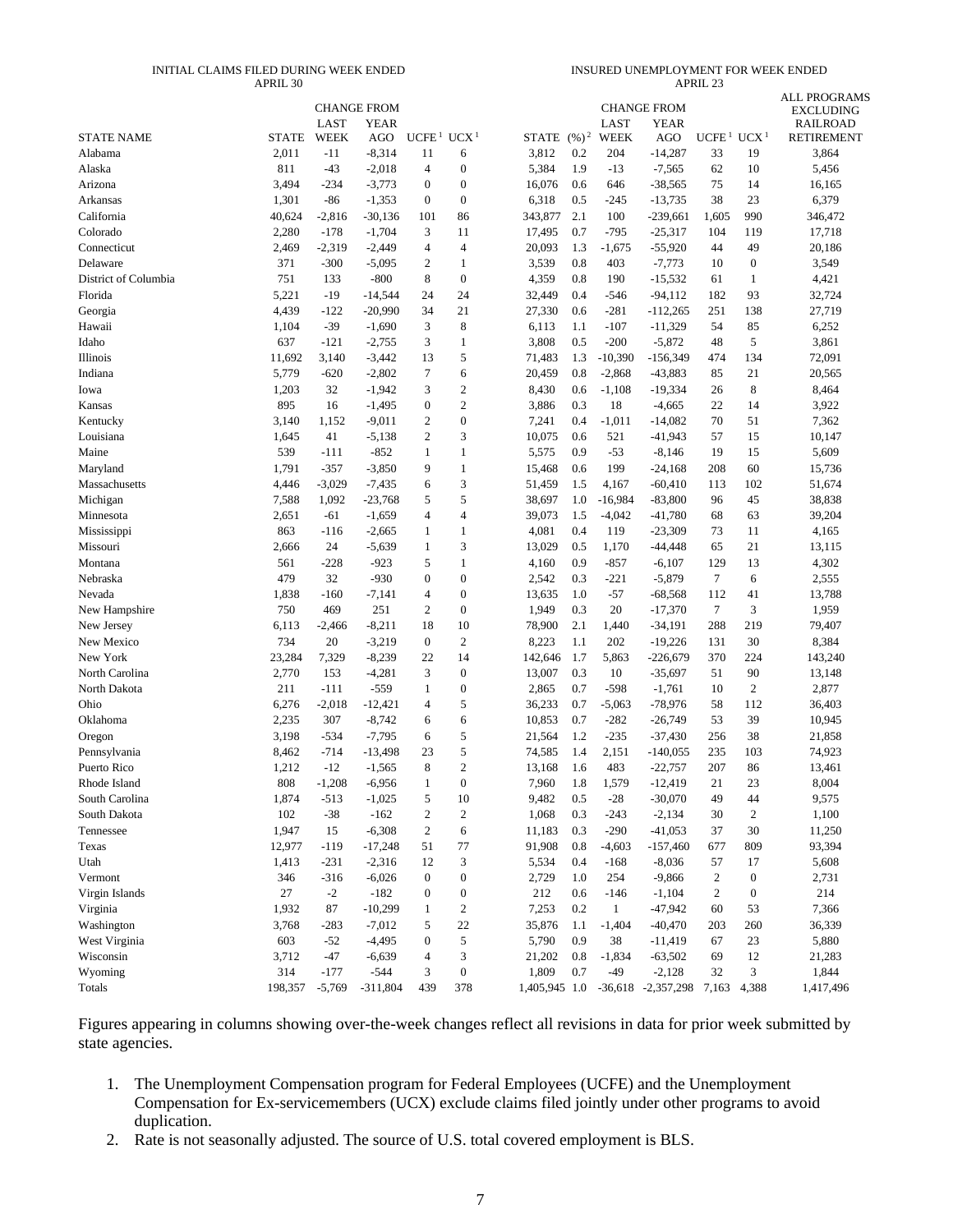#### INITIAL CLAIMS FILED DURING WEEK ENDED APRIL 30

INSURED UNEMPLOYMENT FOR WEEK ENDED APRIL 23

|                      |                 |                  | <b>CHANGE FROM</b>    |                        |                                |                  |            |               | <b>CHANGE FROM</b>      |                                    |                  | <b>ALL PROGRAMS</b>                 |
|----------------------|-----------------|------------------|-----------------------|------------------------|--------------------------------|------------------|------------|---------------|-------------------------|------------------------------------|------------------|-------------------------------------|
|                      |                 | LAST             | <b>YEAR</b>           |                        |                                |                  |            | LAST          | <b>YEAR</b>             |                                    |                  | <b>EXCLUDING</b><br><b>RAILROAD</b> |
| <b>STATE NAME</b>    | <b>STATE</b>    | <b>WEEK</b>      | AGO                   | UCFE <sup>1</sup>      | UCX <sup>1</sup>               | STATE $(\%)^2$   |            | WEEK          | AGO                     | UCFE <sup>1</sup> UCX <sup>1</sup> |                  | <b>RETIREMENT</b>                   |
| Alabama              | 2,011           | $-11$            | $-8,314$              | 11                     | 6                              | 3,812            | 0.2        | 204           | $-14,287$               | 33                                 | 19               | 3,864                               |
| Alaska               | 811             | $-43$            | $-2,018$              | $\overline{4}$         | $\boldsymbol{0}$               | 5,384            | 1.9        | $-13$         | $-7,565$                | 62                                 | 10               | 5,456                               |
| Arizona              | 3,494           | $-234$           | $-3,773$              | $\boldsymbol{0}$       | $\boldsymbol{0}$               | 16,076           | 0.6        | 646           | $-38,565$               | 75                                 | 14               | 16,165                              |
| Arkansas             | 1,301           | $-86$            | $-1,353$              | $\boldsymbol{0}$       | $\boldsymbol{0}$               | 6,318            | 0.5        | $-245$        | $-13,735$               | 38                                 | 23               | 6,379                               |
| California           | 40,624          | $-2,816$         | $-30,136$             | 101                    | 86                             | 343,877          | 2.1        | 100           | $-239,661$              | 1,605                              | 990              | 346,472                             |
| Colorado             | 2,280           | $-178$           | $-1,704$              | 3                      | 11                             | 17,495           | 0.7        | $-795$        | $-25,317$               | 104                                | 119              | 17,718                              |
| Connecticut          | 2,469           | $-2,319$         | $-2,449$              | $\overline{4}$         | 4                              | 20,093           | 1.3        | $-1,675$      | $-55,920$               | 44                                 | 49               | 20,186                              |
| Delaware             | 371             | $-300$           | $-5,095$              | 2                      | 1                              | 3,539            | 0.8        | 403           | $-7,773$                | 10                                 | $\boldsymbol{0}$ | 3,549                               |
| District of Columbia | 751             | 133              | $-800$                | 8                      | $\boldsymbol{0}$               | 4,359            | 0.8        | 190           | $-15,532$               | 61                                 | 1                | 4,421                               |
| Florida              | 5,221           | $-19$            | $-14,544$             | 24                     | 24                             | 32,449           | 0.4        | $-546$        | $-94,112$               | 182                                | 93               | 32,724                              |
| Georgia              | 4,439           | $-122$           | $-20,990$             | 34                     | 21                             | 27,330           | 0.6        | $-281$        | $-112,265$              | 251                                | 138              | 27,719                              |
| Hawaii               | 1,104           | $-39$            | $-1,690$              | 3                      | 8                              | 6,113            | 1.1        | $-107$        | $-11,329$               | 54                                 | 85               | 6,252                               |
| Idaho                | 637             | $-121$           | $-2,755$              | 3                      | 1                              | 3,808            | 0.5        | $-200$        | $-5,872$                | 48                                 | 5                | 3,861                               |
| Illinois             | 11,692          | 3,140            | $-3,442$              | 13                     | 5                              | 71,483           | 1.3        | $-10,390$     | $-156,349$              | 474                                | 134              | 72,091                              |
| Indiana              | 5,779           | $-620$           | $-2,802$              | 7                      | 6                              | 20,459           | 0.8        | $-2,868$      | $-43,883$               | 85                                 | 21               | 20,565                              |
| Iowa                 | 1,203           | 32               | $-1,942$              | 3                      | $\mathfrak{2}$                 | 8,430            | 0.6        | $-1,108$      | $-19,334$               | 26                                 | 8                | 8,464                               |
| Kansas               | 895             | 16               | $-1,495$              | $\boldsymbol{0}$       | $\mathbf{2}$                   | 3,886            | 0.3        | 18            | $-4,665$                | 22                                 | 14               | 3,922                               |
| Kentucky             | 3,140           | 1,152            | $-9,011$              | $\overline{2}$         | $\boldsymbol{0}$               | 7,241            | 0.4        | $-1,011$      | $-14,082$               | 70                                 | 51               | 7,362                               |
| Louisiana            | 1,645           | 41               | $-5,138$              | $\overline{2}$         | 3                              | 10,075           | 0.6        | 521           | $-41,943$               | 57                                 | 15               | 10,147                              |
| Maine                | 539             | $-111$           | $-852$                | $\mathbf{1}$           | $\mathbf{1}$                   | 5,575            | 0.9        | $-53$         | $-8,146$                | 19                                 | 15               | 5,609                               |
| Maryland             | 1,791           | $-357$           | $-3,850$              | 9                      | $\mathbf{1}$                   | 15,468           | 0.6        | 199           | $-24,168$               | 208                                | 60               | 15,736                              |
| Massachusetts        | 4,446           | $-3,029$         | $-7,435$              | 6                      | 3                              | 51,459           | 1.5        | 4,167         | $-60,410$               | 113                                | 102              | 51,674                              |
| Michigan             | 7,588           | 1,092            | $-23,768$             | 5                      | 5                              | 38,697           | 1.0        | $-16,984$     | $-83,800$               | 96                                 | 45               | 38,838                              |
| Minnesota            | 2,651           | -61              | $-1,659$              | $\overline{4}$         | 4                              | 39,073           | 1.5        | $-4,042$      | $-41,780$               | 68                                 | 63               | 39,204                              |
| Mississippi          | 863             | $-116$           | $-2,665$              | 1                      | 1                              | 4,081            | 0.4        | 119           | $-23,309$               | 73                                 | 11               | 4,165                               |
| Missouri             | 2,666           | 24               | $-5,639$              | $\mathbf{1}$           | 3                              | 13,029           | 0.5        | 1,170         | $-44,448$               | 65                                 | 21               | 13,115                              |
| Montana              | 561             | $-228$           | $-923$                | 5                      | $\mathbf{1}$                   | 4,160            | 0.9        | $-857$        | $-6,107$                | 129                                | 13               | 4,302                               |
| Nebraska             | 479             | 32               | $-930$                | $\boldsymbol{0}$       | $\boldsymbol{0}$               | 2,542            | 0.3        | $-221$        | $-5,879$                | 7                                  | 6                | 2,555                               |
| Nevada               | 1,838           | $-160$           | $-7,141$              | $\overline{4}$         | $\boldsymbol{0}$               | 13,635           | 1.0        | $-57$         | $-68,568$               | 112                                | 41               | 13,788                              |
| New Hampshire        | 750             | 469              | 251                   | $\overline{c}$         | $\boldsymbol{0}$               | 1,949            | 0.3        | 20            | $-17,370$               | 7                                  | 3                | 1,959                               |
| New Jersey           | 6,113           | $-2,466$         | $-8,211$              | 18                     | 10                             | 78,900           | 2.1        | 1,440         | $-34,191$               | 288                                | 219              | 79,407                              |
| New Mexico           | 734             | 20               | $-3,219$              | $\boldsymbol{0}$       | $\mathbf{2}$                   | 8,223            | 1.1        | 202           | $-19,226$               | 131                                | 30               | 8,384                               |
| New York             | 23,284          | 7,329            | $-8,239$              | 22                     | 14                             | 142,646          | 1.7        | 5,863         | $-226,679$              | 370                                | 224              | 143,240                             |
| North Carolina       | 2,770           | 153              | $-4,281$              | 3                      | $\boldsymbol{0}$               | 13,007           | 0.3        | 10            | $-35,697$               | 51                                 | 90               | 13,148                              |
| North Dakota         | 211             | $-111$           | $-559$                | 1                      | $\boldsymbol{0}$               | 2,865            | 0.7        | $-598$        | $-1,761$                | 10                                 | $\boldsymbol{2}$ | 2,877                               |
| Ohio                 | 6,276           | $-2,018$         | $-12,421$             | $\overline{4}$         | 5                              | 36,233           | 0.7        | $-5,063$      | $-78,976$               | 58                                 | 112              | 36,403                              |
| Oklahoma             | 2,235           | 307              | $-8,742$              | 6                      | 6                              | 10,853           | 0.7        | $-282$        | $-26,749$               | 53                                 | 39               | 10,945                              |
| Oregon               | 3,198           | $-534$           | $-7,795$              | 6                      | 5                              | 21,564           | 1.2        | $-235$        | $-37,430$               | 256                                | 38               | 21,858                              |
| Pennsylvania         | 8,462           | $-714$           | $-13,498$             | 23                     | 5                              | 74,585           | 1.4        | 2,151         | $-140,055$              | 235                                | 103              | 74,923                              |
| Puerto Rico          | 1,212           | $-12$            | $-1,565$              | 8                      | $\overline{c}$<br>$\Omega$     | 13,168           | 1.6        | 483           | $-22,757$               | 207                                | 86               | 13,461                              |
| Rhode Island         | 808             | $-1,208$         | $-6,956$              | 1                      |                                | 7,960            | 1.8        | 1,579         | $-12,419$               | 21                                 | 23               | 8,004                               |
| South Carolina       | 1,874<br>102    | $-513$<br>$-38$  | $-1,025$<br>$-162$    | $\sqrt{5}$             | 10                             | 9,482<br>1,068   | 0.5        | $-28$         | $-30,070$               | 49<br>30                           | 44               | 9,575                               |
| South Dakota         |                 |                  |                       | $\sqrt{2}$             | $\sqrt{2}$                     |                  | 0.3        | $-243$        | $-2,134$                |                                    | $\sqrt{2}$       | 1,100                               |
| Tennessee<br>Texas   | 1,947<br>12,977 | 15               | $-6,308$<br>$-17,248$ | $\boldsymbol{2}$<br>51 | 6<br>77                        | 11,183<br>91,908 | 0.3<br>0.8 | $-290$        | $-41,053$<br>$-157,460$ | 37<br>677                          | 30<br>809        | 11,250<br>93,394                    |
| Utah                 | 1,413           | $-119$<br>$-231$ | $-2,316$              | 12                     | 3                              | 5,534            | 0.4        | $-4,603$      | $-8,036$                | 57                                 | 17               | 5,608                               |
| Vermont              | 346             | $-316$           | $-6,026$              | $\boldsymbol{0}$       | $\boldsymbol{0}$               | 2,729            | 1.0        | $-168$<br>254 | $-9,866$                | $\overline{c}$                     | $\boldsymbol{0}$ | 2,731                               |
| Virgin Islands       | 27              | $-2$             | $-182$                | $\boldsymbol{0}$       |                                | 212              |            | $-146$        | $-1,104$                | $\sqrt{2}$                         | $\boldsymbol{0}$ | 214                                 |
| Virginia             | 1,932           | 87               | $-10,299$             | $\mathbf{1}$           | $\boldsymbol{0}$<br>$\sqrt{2}$ | 7,253            | 0.6<br>0.2 | $\mathbf{1}$  | $-47,942$               | 60                                 | 53               | 7,366                               |
| Washington           | 3,768           | $-283$           | $-7,012$              | 5                      | 22                             | 35,876           | 1.1        | $-1,404$      | $-40,470$               | 203                                | 260              | 36,339                              |
| West Virginia        | 603             | $-52$            | $-4,495$              | $\boldsymbol{0}$       | 5                              | 5,790            | 0.9        | 38            | $-11,419$               | 67                                 | 23               | 5,880                               |
| Wisconsin            | 3,712           | $-47$            | $-6,639$              | $\overline{4}$         | 3                              | 21,202           | 0.8        | $-1,834$      | $-63,502$               | 69                                 | 12               | 21,283                              |
| Wyoming              | 314             | $-177$           | $-544$                | 3                      | $\boldsymbol{0}$               | 1,809            | 0.7        | $-49$         | $-2,128$                | 32                                 | 3                | 1,844                               |
| Totals               | 198,357         | $-5,769$         | $-311,804$            | 439                    | 378                            | 1,405,945 1.0    |            |               | $-36,618$ $-2,357,298$  | 7,163                              | 4,388            | 1,417,496                           |
|                      |                 |                  |                       |                        |                                |                  |            |               |                         |                                    |                  |                                     |

Figures appearing in columns showing over-the-week changes reflect all revisions in data for prior week submitted by state agencies.

- 1. The Unemployment Compensation program for Federal Employees (UCFE) and the Unemployment Compensation for Ex-servicemembers (UCX) exclude claims filed jointly under other programs to avoid duplication.
- 2. Rate is not seasonally adjusted. The source of U.S. total covered employment is BLS.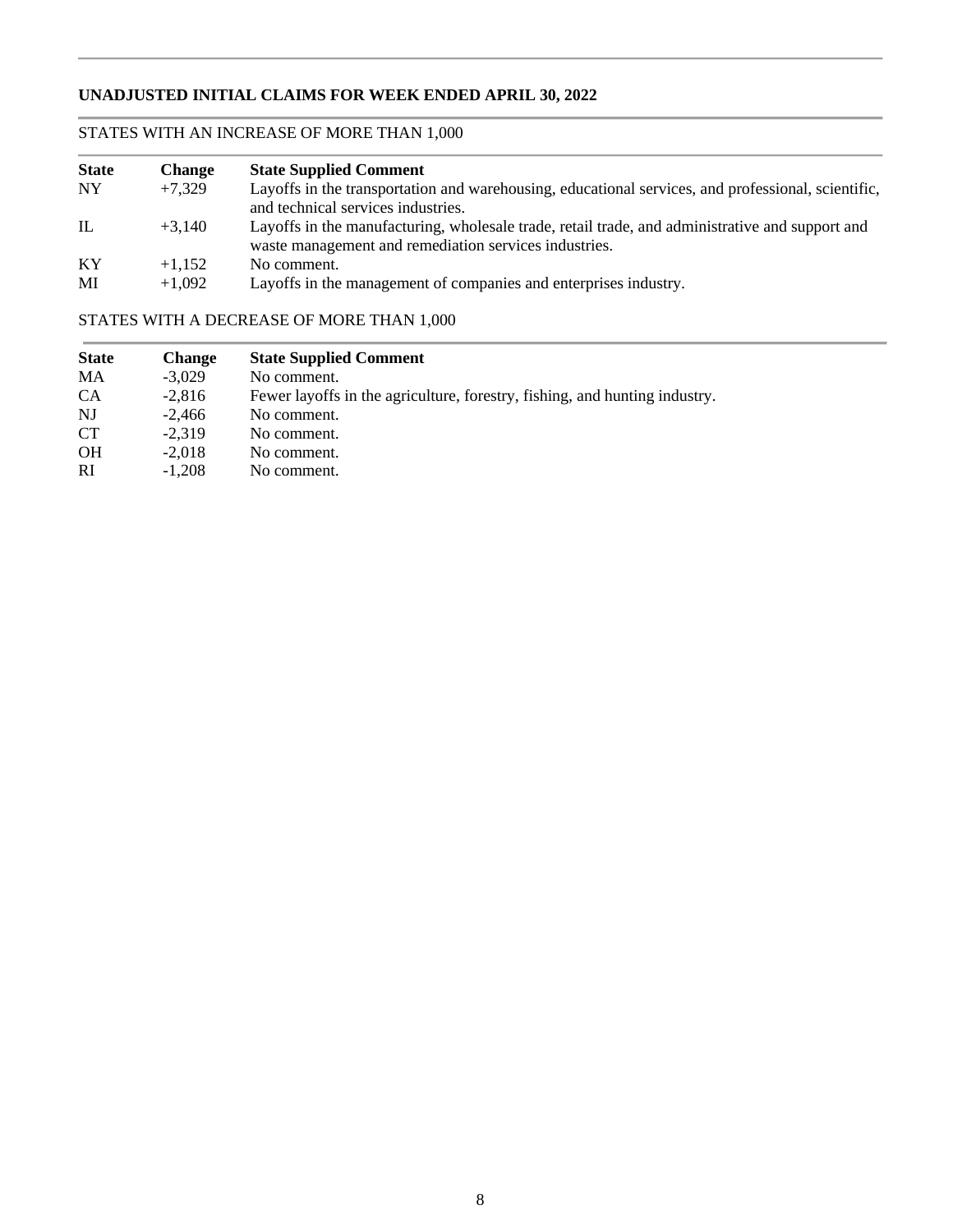## **UNADJUSTED INITIAL CLAIMS FOR WEEK ENDED APRIL 30, 2022**

## STATES WITH AN INCREASE OF MORE THAN 1,000

| <b>State</b> | <b>Change</b> | <b>State Supplied Comment</b>                                                                                                                            |
|--------------|---------------|----------------------------------------------------------------------------------------------------------------------------------------------------------|
| <b>NY</b>    | $+7.329$      | Layoffs in the transportation and warehousing, educational services, and professional, scientific,                                                       |
|              |               | and technical services industries.                                                                                                                       |
| IL           | $+3.140$      | Layoffs in the manufacturing, wholesale trade, retail trade, and administrative and support and<br>waste management and remediation services industries. |
| KY           | $+1.152$      | No comment.                                                                                                                                              |
| MI           | $+1.092$      | Layoffs in the management of companies and enterprises industry.                                                                                         |

## STATES WITH A DECREASE OF MORE THAN 1,000

| <b>State</b> | <b>Change</b> | <b>State Supplied Comment</b>                                              |
|--------------|---------------|----------------------------------------------------------------------------|
| MA           | $-3.029$      | No comment.                                                                |
| <b>CA</b>    | $-2.816$      | Fewer layoffs in the agriculture, forestry, fishing, and hunting industry. |
| NJ           | $-2.466$      | No comment.                                                                |
| <b>CT</b>    | $-2.319$      | No comment.                                                                |
| <b>OH</b>    | $-2.018$      | No comment.                                                                |
| RI.          | $-1.208$      | No comment.                                                                |